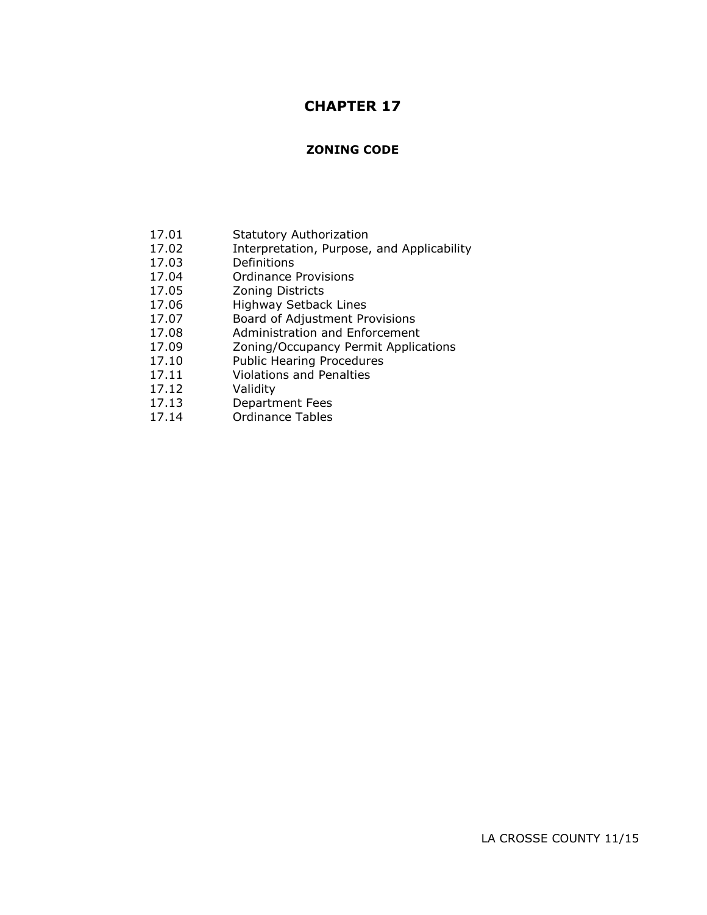# **CHAPTER 17**

# **ZONING CODE**

- 17.01 Statutory Authorization
- 17.02 Interpretation, Purpose, and Applicability
- 17.03 Definitions
- 17.04 Ordinance Provisions
- 17.05 Zoning Districts
- 17.06 Highway Setback Lines
- 17.07 Board of Adjustment Provisions
- 17.08 Administration and Enforcement
- 17.09 Zoning/Occupancy Permit Applications
- 17.10 Public Hearing Procedures
- 17.11 Violations and Penalties
- 17.12 Validity
- 17.13 Department Fees
- 17.14 Ordinance Tables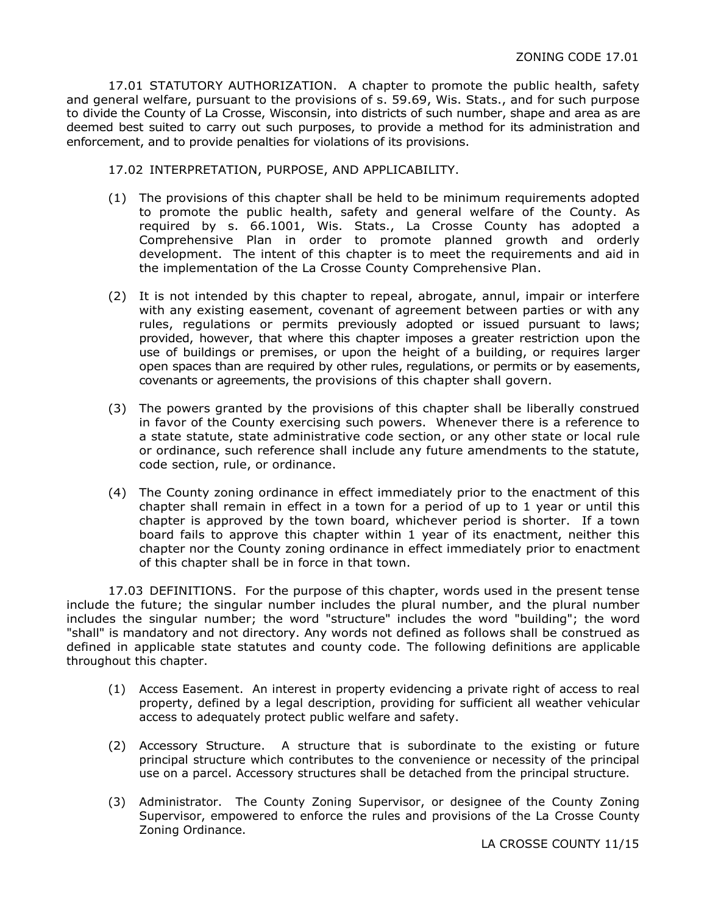17.01 STATUTORY AUTHORIZATION. A chapter to promote the public health, safety and general welfare, pursuant to the provisions of s. 59.69, Wis. Stats., and for such purpose to divide the County of La Crosse, Wisconsin, into districts of such number, shape and area as are deemed best suited to carry out such purposes, to provide a method for its administration and enforcement, and to provide penalties for violations of its provisions.

17.02 INTERPRETATION, PURPOSE, AND APPLICABILITY.

- (1) The provisions of this chapter shall be held to be minimum requirements adopted to promote the public health, safety and general welfare of the County. As required by s. 66.1001, Wis. Stats., La Crosse County has adopted a Comprehensive Plan in order to promote planned growth and orderly development. The intent of this chapter is to meet the requirements and aid in the implementation of the La Crosse County Comprehensive Plan.
- (2) It is not intended by this chapter to repeal, abrogate, annul, impair or interfere with any existing easement, covenant of agreement between parties or with any rules, regulations or permits previously adopted or issued pursuant to laws; provided, however, that where this chapter imposes a greater restriction upon the use of buildings or premises, or upon the height of a building, or requires larger open spaces than are required by other rules, regulations, or permits or by easements, covenants or agreements, the provisions of this chapter shall govern.
- (3) The powers granted by the provisions of this chapter shall be liberally construed in favor of the County exercising such powers. Whenever there is a reference to a state statute, state administrative code section, or any other state or local rule or ordinance, such reference shall include any future amendments to the statute, code section, rule, or ordinance.
- (4) The County zoning ordinance in effect immediately prior to the enactment of this chapter shall remain in effect in a town for a period of up to 1 year or until this chapter is approved by the town board, whichever period is shorter. If a town board fails to approve this chapter within 1 year of its enactment, neither this chapter nor the County zoning ordinance in effect immediately prior to enactment of this chapter shall be in force in that town.

17.03 DEFINITIONS. For the purpose of this chapter, words used in the present tense include the future; the singular number includes the plural number, and the plural number includes the singular number; the word "structure" includes the word "building"; the word "shall" is mandatory and not directory. Any words not defined as follows shall be construed as defined in applicable state statutes and county code. The following definitions are applicable throughout this chapter.

- (1) Access Easement. An interest in property evidencing a private right of access to real property, defined by a legal description, providing for sufficient all weather vehicular access to adequately protect public welfare and safety.
- (2) Accessory Structure. A structure that is subordinate to the existing or future principal structure which contributes to the convenience or necessity of the principal use on a parcel. Accessory structures shall be detached from the principal structure.
- (3) Administrator. The County Zoning Supervisor, or designee of the County Zoning Supervisor, empowered to enforce the rules and provisions of the La Crosse County Zoning Ordinance.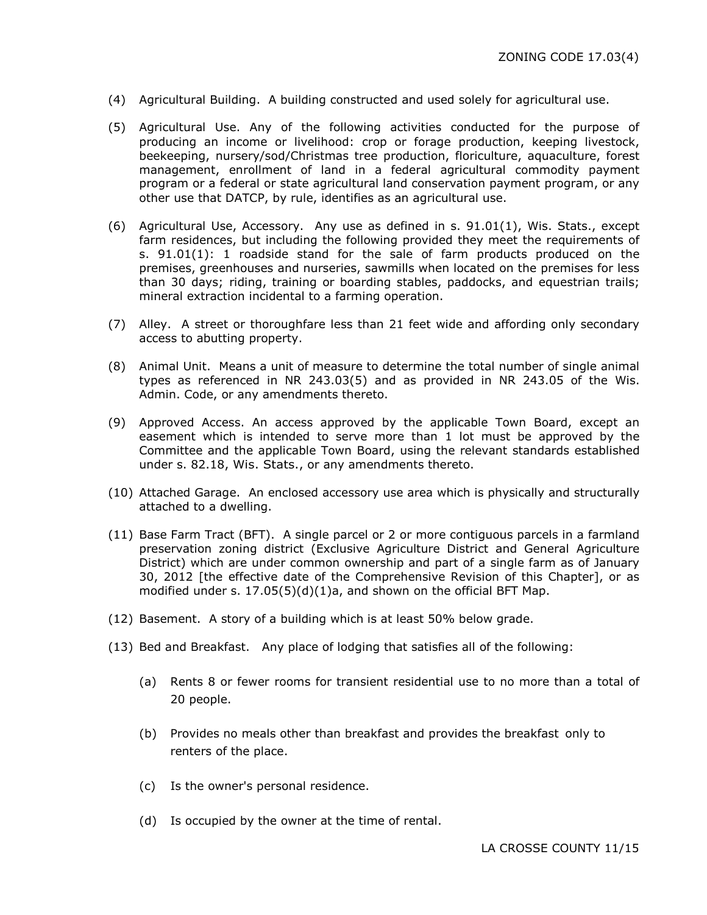- (4) Agricultural Building. A building constructed and used solely for agricultural use.
- (5) Agricultural Use. Any of the following activities conducted for the purpose of producing an income or livelihood: crop or forage production, keeping livestock, beekeeping, nursery/sod/Christmas tree production, floriculture, aquaculture, forest management, enrollment of land in a federal agricultural commodity payment program or a federal or state agricultural land conservation payment program, or any other use that DATCP, by rule, identifies as an agricultural use.
- $(6)$  Agricultural Use, Accessory. Any use as defined in s.  $91.01(1)$ , Wis. Stats., except farm residences, but including the following provided they meet the requirements of s. 91.01(1): 1 roadside stand for the sale of farm products produced on the premises, greenhouses and nurseries, sawmills when located on the premises for less than 30 days; riding, training or boarding stables, paddocks, and equestrian trails; mineral extraction incidental to a farming operation.
- (7) Alley. A street or thoroughfare less than 21 feet wide and affording only secondary access to abutting property.
- (8) Animal Unit. Means a unit of measure to determine the total number of single animal types as referenced in NR 243.03(5) and as provided in NR 243.05 of the Wis. Admin. Code, or any amendments thereto.
- (9) Approved Access. An access approved by the applicable Town Board, except an easement which is intended to serve more than 1 lot must be approved by the Committee and the applicable Town Board, using the relevant standards established under s. 82.18, Wis. Stats., or any amendments thereto.
- (10) Attached Garage. An enclosed accessory use area which is physically and structurally attached to a dwelling.
- (11) Base Farm Tract (BFT). A single parcel or 2 or more contiguous parcels in a farmland preservation zoning district (Exclusive Agriculture District and General Agriculture District) which are under common ownership and part of a single farm as of January 30, 2012 [the effective date of the Comprehensive Revision of this Chapter], or as modified under s. 17.05(5)(d)(1)a, and shown on the official BFT Map.
- (12) Basement. A story of a building which is at least 50% below grade.
- (13) Bed and Breakfast. Any place of lodging that satisfies all of the following:
	- (a) Rents 8 or fewer rooms for transient residential use to no more than a total of 20 people.
	- (b) Provides no meals other than breakfast and provides the breakfast only to renters of the place.
	- (c) Is the owner's personal residence.
	- (d) Is occupied by the owner at the time of rental.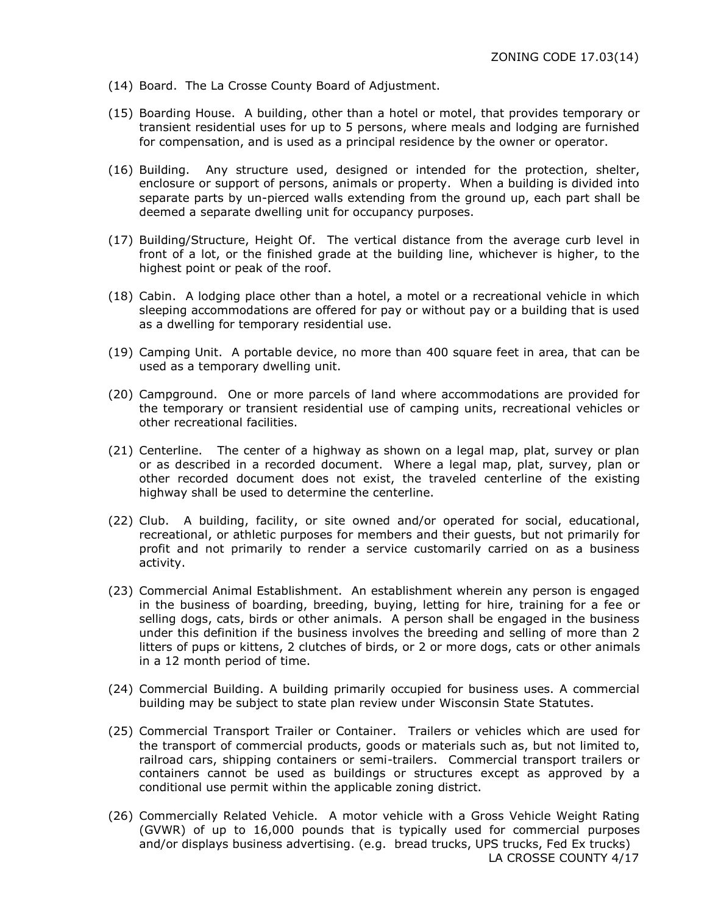- (14) Board. The La Crosse County Board of Adjustment.
- (15) Boarding House. A building, other than a hotel or motel, that provides temporary or transient residential uses for up to 5 persons, where meals and lodging are furnished for compensation, and is used as a principal residence by the owner or operator.
- (16) Building. Any structure used, designed or intended for the protection, shelter, enclosure or support of persons, animals or property. When a building is divided into separate parts by un-pierced walls extending from the ground up, each part shall be deemed a separate dwelling unit for occupancy purposes.
- (17) Building/Structure, Height Of. The vertical distance from the average curb level in front of a lot, or the finished grade at the building line, whichever is higher, to the highest point or peak of the roof.
- (18) Cabin. A lodging place other than a hotel, a motel or a recreational vehicle in which sleeping accommodations are offered for pay or without pay or a building that is used as a dwelling for temporary residential use.
- (19) Camping Unit. A portable device, no more than 400 square feet in area, that can be used as a temporary dwelling unit.
- (20) Campground. One or more parcels of land where accommodations are provided for the temporary or transient residential use of camping units, recreational vehicles or other recreational facilities.
- (21) Centerline. The center of a highway as shown on a legal map, plat, survey or plan or as described in a recorded document. Where a legal map, plat, survey, plan or other recorded document does not exist, the traveled centerline of the existing highway shall be used to determine the centerline.
- (22) Club. A building, facility, or site owned and/or operated for social, educational, recreational, or athletic purposes for members and their guests, but not primarily for profit and not primarily to render a service customarily carried on as a business activity.
- (23) Commercial Animal Establishment. An establishment wherein any person is engaged in the business of boarding, breeding, buying, letting for hire, training for a fee or selling dogs, cats, birds or other animals. A person shall be engaged in the business under this definition if the business involves the breeding and selling of more than 2 litters of pups or kittens, 2 clutches of birds, or 2 or more dogs, cats or other animals in a 12 month period of time.
- (24) Commercial Building. A building primarily occupied for business uses. A commercial building may be subject to state plan review under Wisconsin State Statutes.
- (25) Commercial Transport Trailer or Container. Trailers or vehicles which are used for the transport of commercial products, goods or materials such as, but not limited to, railroad cars, shipping containers or semi-trailers. Commercial transport trailers or containers cannot be used as buildings or structures except as approved by a conditional use permit within the applicable zoning district.
- (26) Commercially Related Vehicle. A motor vehicle with a Gross Vehicle Weight Rating (GVWR) of up to 16,000 pounds that is typically used for commercial purposes and/or displays business advertising. (e.g. bread trucks, UPS trucks, Fed Ex trucks) LA CROSSE COUNTY 4/17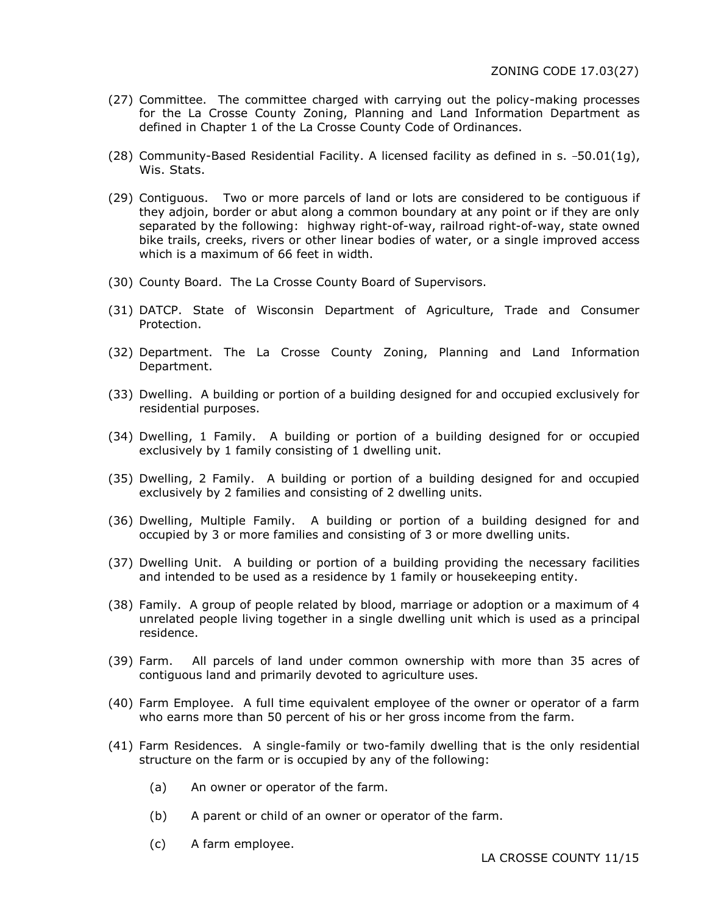- (27) Committee. The committee charged with carrying out the policy-making processes for the La Crosse County Zoning, Planning and Land Information Department as defined in Chapter 1 of the La Crosse County Code of Ordinances.
- (28) Community-Based Residential Facility. A licensed facility as defined in s.  $-50.01(1g)$ , Wis. Stats.
- (29) Contiguous. Two or more parcels of land or lots are considered to be contiguous if they adjoin, border or abut along a common boundary at any point or if they are only separated by the following: highway right-of-way, railroad right-of-way, state owned bike trails, creeks, rivers or other linear bodies of water, or a single improved access which is a maximum of 66 feet in width.
- (30) County Board. The La Crosse County Board of Supervisors.
- (31) DATCP. State of Wisconsin Department of Agriculture, Trade and Consumer Protection.
- (32) Department. The La Crosse County Zoning, Planning and Land Information Department.
- (33) Dwelling. A building or portion of a building designed for and occupied exclusively for residential purposes.
- (34) Dwelling, 1 Family. A building or portion of a building designed for or occupied exclusively by 1 family consisting of 1 dwelling unit.
- (35) Dwelling, 2 Family. A building or portion of a building designed for and occupied exclusively by 2 families and consisting of 2 dwelling units.
- (36) Dwelling, Multiple Family. A building or portion of a building designed for and occupied by 3 or more families and consisting of 3 or more dwelling units.
- (37) Dwelling Unit. A building or portion of a building providing the necessary facilities and intended to be used as a residence by 1 family or housekeeping entity.
- (38) Family. A group of people related by blood, marriage or adoption or a maximum of 4 unrelated people living together in a single dwelling unit which is used as a principal residence.
- (39) Farm. All parcels of land under common ownership with more than 35 acres of contiguous land and primarily devoted to agriculture uses.
- (40) Farm Employee. A full time equivalent employee of the owner or operator of a farm who earns more than 50 percent of his or her gross income from the farm.
- (41) Farm Residences. A single-family or two-family dwelling that is the only residential structure on the farm or is occupied by any of the following:
	- (a) An owner or operator of the farm.
	- (b) A parent or child of an owner or operator of the farm.
	- (c) A farm employee.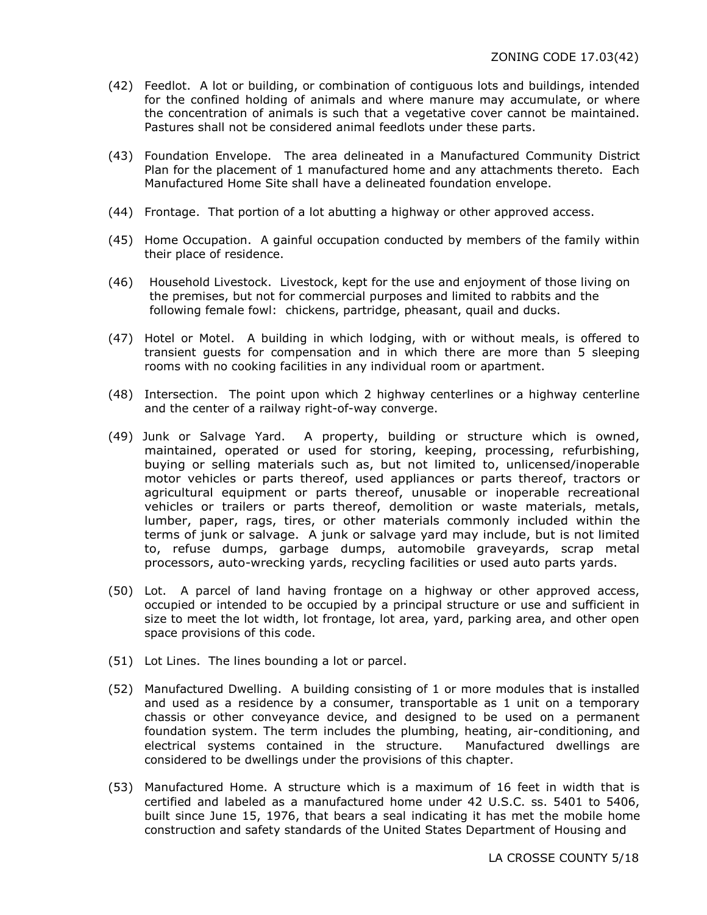- (42) Feedlot. A lot or building, or combination of contiguous lots and buildings, intended for the confined holding of animals and where manure may accumulate, or where the concentration of animals is such that a vegetative cover cannot be maintained. Pastures shall not be considered animal feedlots under these parts.
- (43) Foundation Envelope. The area delineated in a Manufactured Community District Plan for the placement of 1 manufactured home and any attachments thereto. Each Manufactured Home Site shall have a delineated foundation envelope.
- (44) Frontage. That portion of a lot abutting a highway or other approved access.
- (45) Home Occupation. A gainful occupation conducted by members of the family within their place of residence.
- (46) Household Livestock. Livestock, kept for the use and enjoyment of those living on the premises, but not for commercial purposes and limited to rabbits and the following female fowl: chickens, partridge, pheasant, quail and ducks.
- (47) Hotel or Motel. A building in which lodging, with or without meals, is offered to transient guests for compensation and in which there are more than 5 sleeping rooms with no cooking facilities in any individual room or apartment.
- (48) Intersection. The point upon which 2 highway centerlines or a highway centerline and the center of a railway right-of-way converge.
- (49) Junk or Salvage Yard. A property, building or structure which is owned, maintained, operated or used for storing, keeping, processing, refurbishing, buying or selling materials such as, but not limited to, unlicensed/inoperable motor vehicles or parts thereof, used appliances or parts thereof, tractors or agricultural equipment or parts thereof, unusable or inoperable recreational vehicles or trailers or parts thereof, demolition or waste materials, metals, lumber, paper, rags, tires, or other materials commonly included within the terms of junk or salvage. A junk or salvage yard may include, but is not limited to, refuse dumps, garbage dumps, automobile graveyards, scrap metal processors, auto-wrecking yards, recycling facilities or used auto parts yards.
- (50) Lot. A parcel of land having frontage on a highway or other approved access, occupied or intended to be occupied by a principal structure or use and sufficient in size to meet the lot width, lot frontage, lot area, yard, parking area, and other open space provisions of this code.
- (51) Lot Lines. The lines bounding a lot or parcel.
- (52) Manufactured Dwelling. A building consisting of 1 or more modules that is installed and used as a residence by a consumer, transportable as 1 unit on a temporary chassis or other conveyance device, and designed to be used on a permanent foundation system. The term includes the plumbing, heating, air-conditioning, and electrical systems contained in the structure. Manufactured dwellings are considered to be dwellings under the provisions of this chapter.
- (53) Manufactured Home. A structure which is a maximum of 16 feet in width that is certified and labeled as a manufactured home under 42 U.S.C. ss. 5401 to 5406, built since June 15, 1976, that bears a seal indicating it has met the mobile home construction and safety standards of the United States Department of Housing and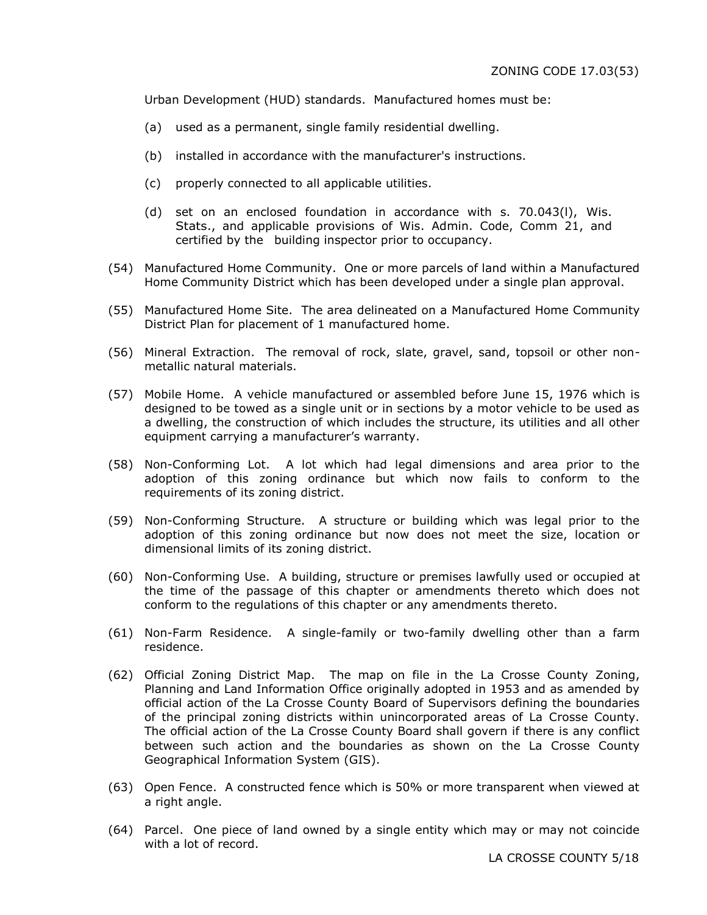Urban Development (HUD) standards. Manufactured homes must be:

- (a) used as a permanent, single family residential dwelling.
- (b) installed in accordance with the manufacturer's instructions.
- (c) properly connected to all applicable utilities.
- (d) set on an enclosed foundation in accordance with s. 70.043(l), Wis. Stats., and applicable provisions of Wis. Admin. Code, Comm 21, and certified by the building inspector prior to occupancy.
- (54) Manufactured Home Community. One or more parcels of land within a Manufactured Home Community District which has been developed under a single plan approval.
- (55) Manufactured Home Site. The area delineated on a Manufactured Home Community District Plan for placement of 1 manufactured home.
- (56) Mineral Extraction. The removal of rock, slate, gravel, sand, topsoil or other nonmetallic natural materials.
- (57) Mobile Home. A vehicle manufactured or assembled before June 15, 1976 which is designed to be towed as a single unit or in sections by a motor vehicle to be used as a dwelling, the construction of which includes the structure, its utilities and all other equipment carrying a manufacturer's warranty.
- (58) Non-Conforming Lot. A lot which had legal dimensions and area prior to the adoption of this zoning ordinance but which now fails to conform to the requirements of its zoning district.
- (59) Non-Conforming Structure. A structure or building which was legal prior to the adoption of this zoning ordinance but now does not meet the size, location or dimensional limits of its zoning district.
- (60) Non-Conforming Use. A building, structure or premises lawfully used or occupied at the time of the passage of this chapter or amendments thereto which does not conform to the regulations of this chapter or any amendments thereto.
- (61) Non-Farm Residence. A single-family or two-family dwelling other than a farm residence.
- (62) Official Zoning District Map. The map on file in the La Crosse County Zoning, Planning and Land Information Office originally adopted in 1953 and as amended by official action of the La Crosse County Board of Supervisors defining the boundaries of the principal zoning districts within unincorporated areas of La Crosse County. The official action of the La Crosse County Board shall govern if there is any conflict between such action and the boundaries as shown on the La Crosse County Geographical Information System (GIS).
- (63) Open Fence. A constructed fence which is 50% or more transparent when viewed at a right angle.
- (64) Parcel. One piece of land owned by a single entity which may or may not coincide with a lot of record.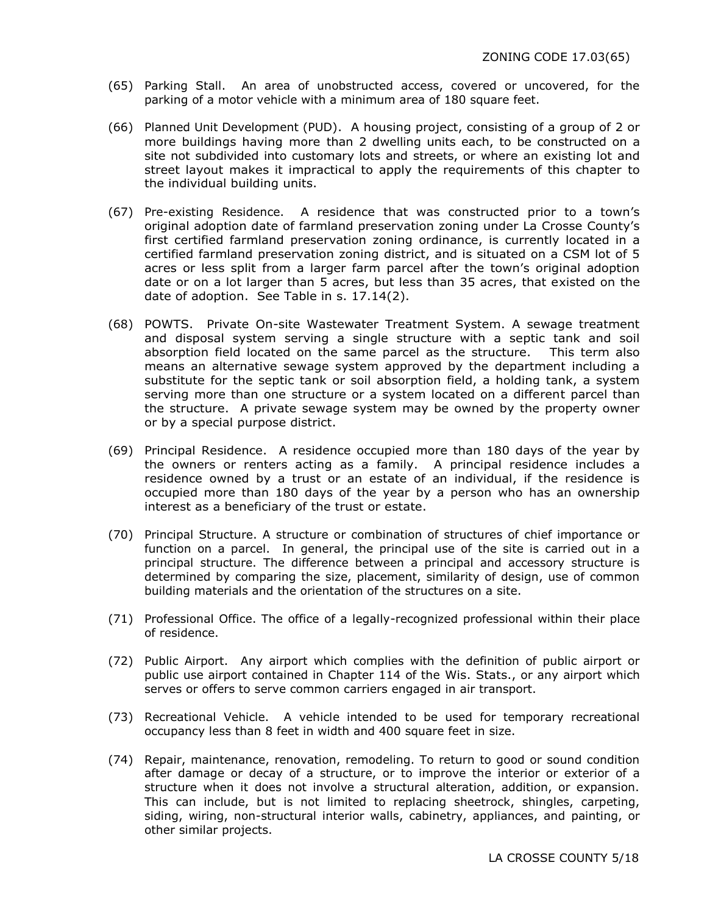- (65) Parking Stall. An area of unobstructed access, covered or uncovered, for the parking of a motor vehicle with a minimum area of 180 square feet.
- (66) Planned Unit Development (PUD). A housing project, consisting of a group of 2 or more buildings having more than 2 dwelling units each, to be constructed on a site not subdivided into customary lots and streets, or where an existing lot and street layout makes it impractical to apply the requirements of this chapter to the individual building units.
- (67) Pre-existing Residence. A residence that was constructed prior to a town's original adoption date of farmland preservation zoning under La Crosse County's first certified farmland preservation zoning ordinance, is currently located in a certified farmland preservation zoning district, and is situated on a CSM lot of 5 acres or less split from a larger farm parcel after the town's original adoption date or on a lot larger than 5 acres, but less than 35 acres, that existed on the date of adoption. See Table in s. 17.14(2).
- (68) POWTS. Private On-site Wastewater Treatment System. A sewage treatment and disposal system serving a single structure with a septic tank and soil absorption field located on the same parcel as the structure. This term also means an alternative sewage system approved by the department including a substitute for the septic tank or soil absorption field, a holding tank, a system serving more than one structure or a system located on a different parcel than the structure. A private sewage system may be owned by the property owner or by a special purpose district.
- (69) Principal Residence. A residence occupied more than 180 days of the year by the owners or renters acting as a family. A principal residence includes a residence owned by a trust or an estate of an individual, if the residence is occupied more than 180 days of the year by a person who has an ownership interest as a beneficiary of the trust or estate.
- (70) Principal Structure. A structure or combination of structures of chief importance or function on a parcel. In general, the principal use of the site is carried out in a principal structure. The difference between a principal and accessory structure is determined by comparing the size, placement, similarity of design, use of common building materials and the orientation of the structures on a site.
- (71) Professional Office. The office of a legally-recognized professional within their place of residence.
- (72) Public Airport. Any airport which complies with the definition of public airport or public use airport contained in Chapter 114 of the Wis. Stats., or any airport which serves or offers to serve common carriers engaged in air transport.
- (73) Recreational Vehicle. A vehicle intended to be used for temporary recreational occupancy less than 8 feet in width and 400 square feet in size.
- (74) Repair, maintenance, renovation, remodeling. To return to good or sound condition after damage or decay of a structure, or to improve the interior or exterior of a structure when it does not involve a structural alteration, addition, or expansion. This can include, but is not limited to replacing sheetrock, shingles, carpeting, siding, wiring, non-structural interior walls, cabinetry, appliances, and painting, or other similar projects.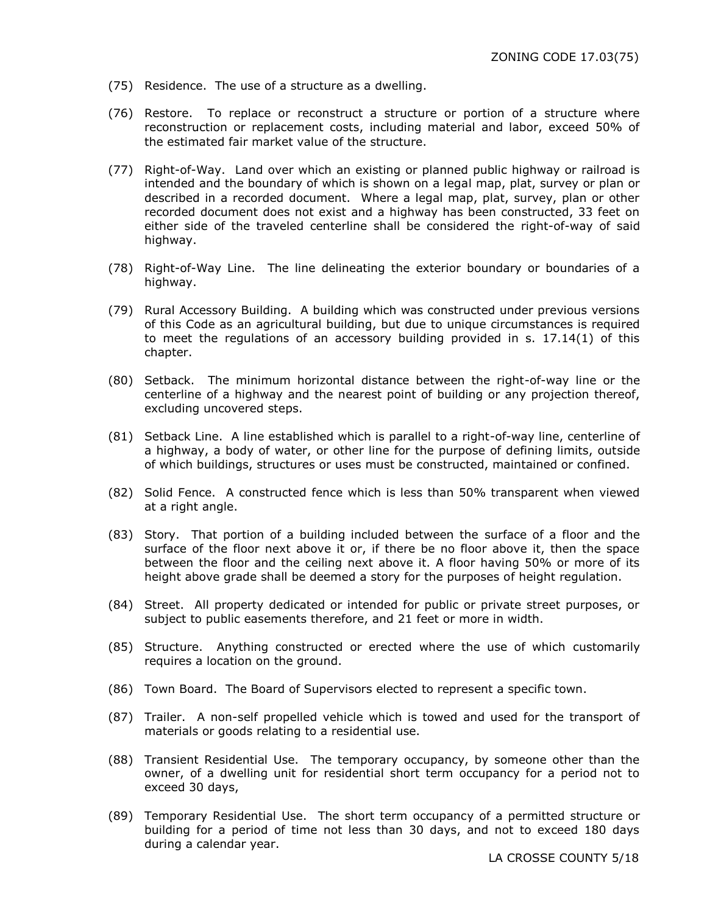- (75) Residence. The use of a structure as a dwelling.
- (76) Restore. To replace or reconstruct a structure or portion of a structure where reconstruction or replacement costs, including material and labor, exceed 50% of the estimated fair market value of the structure.
- (77) Right-of-Way. Land over which an existing or planned public highway or railroad is intended and the boundary of which is shown on a legal map, plat, survey or plan or described in a recorded document. Where a legal map, plat, survey, plan or other recorded document does not exist and a highway has been constructed, 33 feet on either side of the traveled centerline shall be considered the right-of-way of said highway.
- (78) Right-of-Way Line. The line delineating the exterior boundary or boundaries of a highway.
- (79) Rural Accessory Building. A building which was constructed under previous versions of this Code as an agricultural building, but due to unique circumstances is required to meet the regulations of an accessory building provided in s. 17.14(1) of this chapter.
- (80) Setback. The minimum horizontal distance between the right-of-way line or the centerline of a highway and the nearest point of building or any projection thereof, excluding uncovered steps.
- (81) Setback Line. A line established which is parallel to a right-of-way line, centerline of a highway, a body of water, or other line for the purpose of defining limits, outside of which buildings, structures or uses must be constructed, maintained or confined.
- (82) Solid Fence. A constructed fence which is less than 50% transparent when viewed at a right angle.
- (83) Story. That portion of a building included between the surface of a floor and the surface of the floor next above it or, if there be no floor above it, then the space between the floor and the ceiling next above it. A floor having 50% or more of its height above grade shall be deemed a story for the purposes of height regulation.
- (84) Street. All property dedicated or intended for public or private street purposes, or subject to public easements therefore, and 21 feet or more in width.
- (85) Structure. Anything constructed or erected where the use of which customarily requires a location on the ground.
- (86) Town Board. The Board of Supervisors elected to represent a specific town.
- (87) Trailer. A non-self propelled vehicle which is towed and used for the transport of materials or goods relating to a residential use.
- (88) Transient Residential Use. The temporary occupancy, by someone other than the owner, of a dwelling unit for residential short term occupancy for a period not to exceed 30 days,
- (89) Temporary Residential Use. The short term occupancy of a permitted structure or building for a period of time not less than 30 days, and not to exceed 180 days during a calendar year.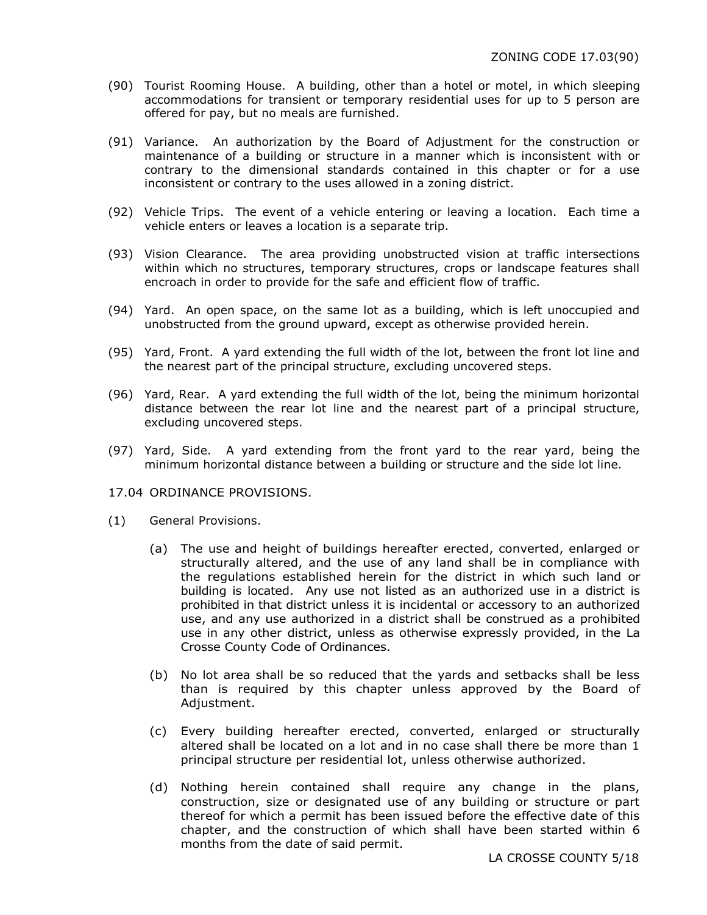- (90) Tourist Rooming House. A building, other than a hotel or motel, in which sleeping accommodations for transient or temporary residential uses for up to 5 person are offered for pay, but no meals are furnished.
- (91) Variance. An authorization by the Board of Adjustment for the construction or maintenance of a building or structure in a manner which is inconsistent with or contrary to the dimensional standards contained in this chapter or for a use inconsistent or contrary to the uses allowed in a zoning district.
- (92) Vehicle Trips. The event of a vehicle entering or leaving a location. Each time a vehicle enters or leaves a location is a separate trip.
- (93) Vision Clearance. The area providing unobstructed vision at traffic intersections within which no structures, temporary structures, crops or landscape features shall encroach in order to provide for the safe and efficient flow of traffic.
- (94) Yard. An open space, on the same lot as a building, which is left unoccupied and unobstructed from the ground upward, except as otherwise provided herein.
- (95) Yard, Front. A yard extending the full width of the lot, between the front lot line and the nearest part of the principal structure, excluding uncovered steps.
- (96) Yard, Rear. A yard extending the full width of the lot, being the minimum horizontal distance between the rear lot line and the nearest part of a principal structure, excluding uncovered steps.
- (97) Yard, Side. A yard extending from the front yard to the rear yard, being the minimum horizontal distance between a building or structure and the side lot line.
- 17.04 ORDINANCE PROVISIONS.
- (1) General Provisions.
	- (a) The use and height of buildings hereafter erected, converted, enlarged or structurally altered, and the use of any land shall be in compliance with the regulations established herein for the district in which such land or building is located. Any use not listed as an authorized use in a district is prohibited in that district unless it is incidental or accessory to an authorized use, and any use authorized in a district shall be construed as a prohibited use in any other district, unless as otherwise expressly provided, in the La Crosse County Code of Ordinances.
	- (b) No lot area shall be so reduced that the yards and setbacks shall be less than is required by this chapter unless approved by the Board of Adjustment.
	- (c) Every building hereafter erected, converted, enlarged or structurally altered shall be located on a lot and in no case shall there be more than 1 principal structure per residential lot, unless otherwise authorized.
	- (d) Nothing herein contained shall require any change in the plans, construction, size or designated use of any building or structure or part thereof for which a permit has been issued before the effective date of this chapter, and the construction of which shall have been started within 6 months from the date of said permit.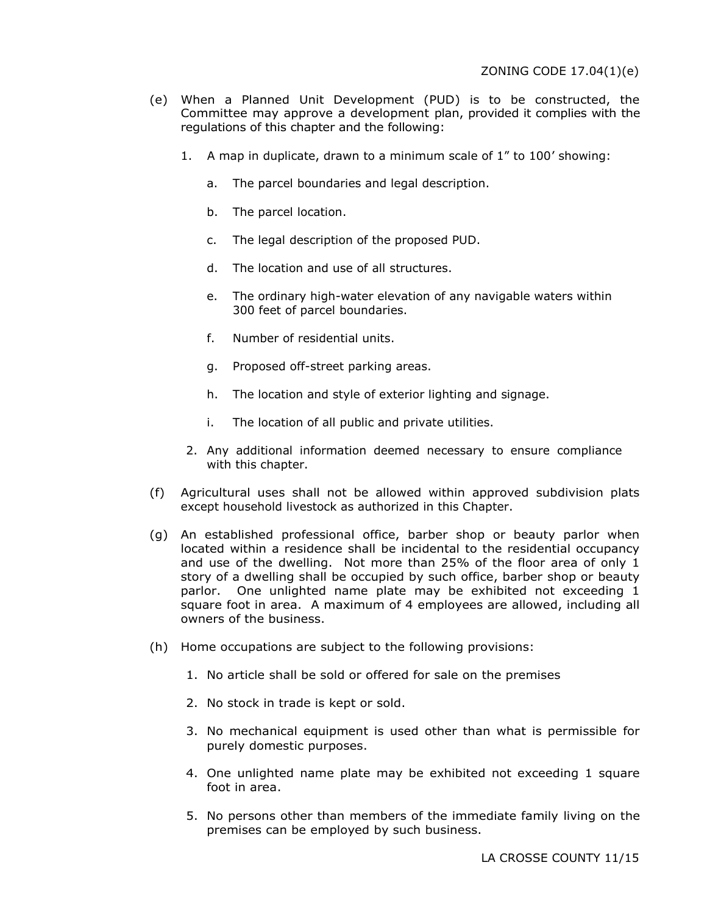- (e) When a Planned Unit Development (PUD) is to be constructed, the Committee may approve a development plan, provided it complies with the regulations of this chapter and the following:
	- 1. A map in duplicate, drawn to a minimum scale of 1" to 100' showing:
		- a. The parcel boundaries and legal description.
		- b. The parcel location.
		- c. The legal description of the proposed PUD.
		- d. The location and use of all structures.
		- e. The ordinary high-water elevation of any navigable waters within 300 feet of parcel boundaries.
		- f. Number of residential units.
		- g. Proposed off-street parking areas.
		- h. The location and style of exterior lighting and signage.
		- i. The location of all public and private utilities.
	- 2. Any additional information deemed necessary to ensure compliance with this chapter.
- (f) Agricultural uses shall not be allowed within approved subdivision plats except household livestock as authorized in this Chapter.
- (g) An established professional office, barber shop or beauty parlor when located within a residence shall be incidental to the residential occupancy and use of the dwelling. Not more than 25% of the floor area of only 1 story of a dwelling shall be occupied by such office, barber shop or beauty parlor. One unlighted name plate may be exhibited not exceeding 1 square foot in area. A maximum of 4 employees are allowed, including all owners of the business.
- (h) Home occupations are subject to the following provisions:
	- 1. No article shall be sold or offered for sale on the premises
	- 2. No stock in trade is kept or sold.
	- 3. No mechanical equipment is used other than what is permissible for purely domestic purposes.
	- 4. One unlighted name plate may be exhibited not exceeding 1 square foot in area.
	- 5. No persons other than members of the immediate family living on the premises can be employed by such business.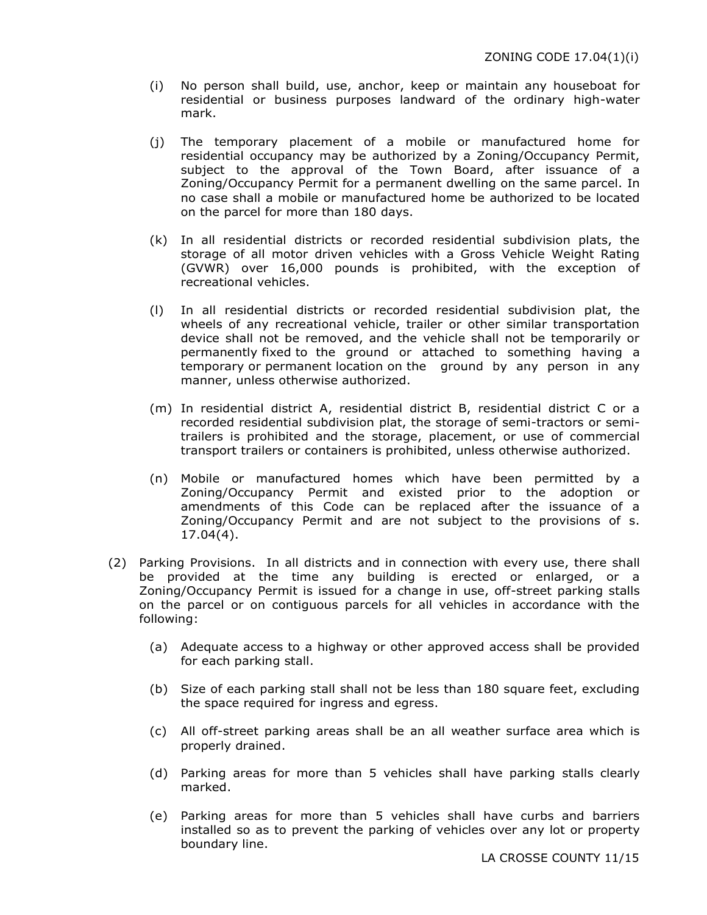- (i) No person shall build, use, anchor, keep or maintain any houseboat for residential or business purposes landward of the ordinary high-water mark.
- (j) The temporary placement of a mobile or manufactured home for residential occupancy may be authorized by a Zoning/Occupancy Permit, subject to the approval of the Town Board, after issuance of a Zoning/Occupancy Permit for a permanent dwelling on the same parcel. In no case shall a mobile or manufactured home be authorized to be located on the parcel for more than 180 days.
- (k) In all residential districts or recorded residential subdivision plats, the storage of all motor driven vehicles with a Gross Vehicle Weight Rating (GVWR) over 16,000 pounds is prohibited, with the exception of recreational vehicles.
- (l) In all residential districts or recorded residential subdivision plat, the wheels of any recreational vehicle, trailer or other similar transportation device shall not be removed, and the vehicle shall not be temporarily or permanently fixed to the ground or attached to something having a temporary or permanent location on the ground by any person in any manner, unless otherwise authorized.
- (m) In residential district A, residential district B, residential district C or a recorded residential subdivision plat, the storage of semi-tractors or semitrailers is prohibited and the storage, placement, or use of commercial transport trailers or containers is prohibited, unless otherwise authorized.
- (n) Mobile or manufactured homes which have been permitted by a Zoning/Occupancy Permit and existed prior to the adoption or amendments of this Code can be replaced after the issuance of a Zoning/Occupancy Permit and are not subject to the provisions of s. 17.04(4).
- (2) Parking Provisions. In all districts and in connection with every use, there shall be provided at the time any building is erected or enlarged, or a Zoning/Occupancy Permit is issued for a change in use, off-street parking stalls on the parcel or on contiguous parcels for all vehicles in accordance with the following:
	- (a) Adequate access to a highway or other approved access shall be provided for each parking stall.
	- (b) Size of each parking stall shall not be less than 180 square feet, excluding the space required for ingress and egress.
	- (c) All off-street parking areas shall be an all weather surface area which is properly drained.
	- (d) Parking areas for more than 5 vehicles shall have parking stalls clearly marked.
	- (e) Parking areas for more than 5 vehicles shall have curbs and barriers installed so as to prevent the parking of vehicles over any lot or property boundary line.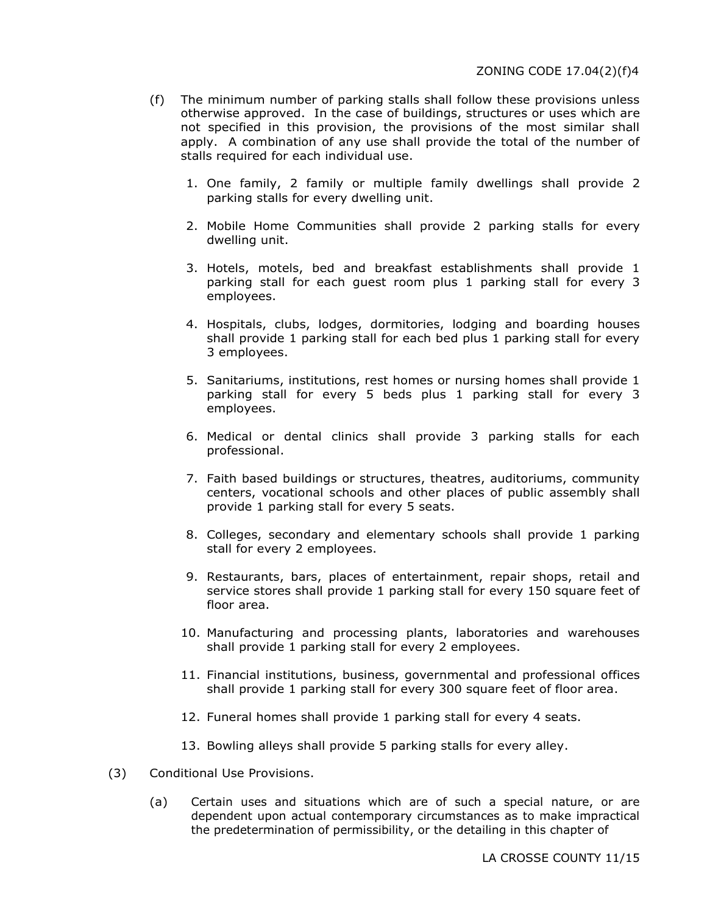- (f) The minimum number of parking stalls shall follow these provisions unless otherwise approved. In the case of buildings, structures or uses which are not specified in this provision, the provisions of the most similar shall apply. A combination of any use shall provide the total of the number of stalls required for each individual use.
	- 1. One family, 2 family or multiple family dwellings shall provide 2 parking stalls for every dwelling unit.
	- 2. Mobile Home Communities shall provide 2 parking stalls for every dwelling unit.
	- 3. Hotels, motels, bed and breakfast establishments shall provide 1 parking stall for each guest room plus 1 parking stall for every 3 employees.
	- 4. Hospitals, clubs, lodges, dormitories, lodging and boarding houses shall provide 1 parking stall for each bed plus 1 parking stall for every 3 employees.
	- 5. Sanitariums, institutions, rest homes or nursing homes shall provide 1 parking stall for every 5 beds plus 1 parking stall for every 3 employees.
	- 6. Medical or dental clinics shall provide 3 parking stalls for each professional.
	- 7. Faith based buildings or structures, theatres, auditoriums, community centers, vocational schools and other places of public assembly shall provide 1 parking stall for every 5 seats.
	- 8. Colleges, secondary and elementary schools shall provide 1 parking stall for every 2 employees.
	- 9. Restaurants, bars, places of entertainment, repair shops, retail and service stores shall provide 1 parking stall for every 150 square feet of floor area.
	- 10. Manufacturing and processing plants, laboratories and warehouses shall provide 1 parking stall for every 2 employees.
	- 11. Financial institutions, business, governmental and professional offices shall provide 1 parking stall for every 300 square feet of floor area.
	- 12. Funeral homes shall provide 1 parking stall for every 4 seats.
	- 13. Bowling alleys shall provide 5 parking stalls for every alley.
- (3) Conditional Use Provisions.
	- (a) Certain uses and situations which are of such a special nature, or are dependent upon actual contemporary circumstances as to make impractical the predetermination of permissibility, or the detailing in this chapter of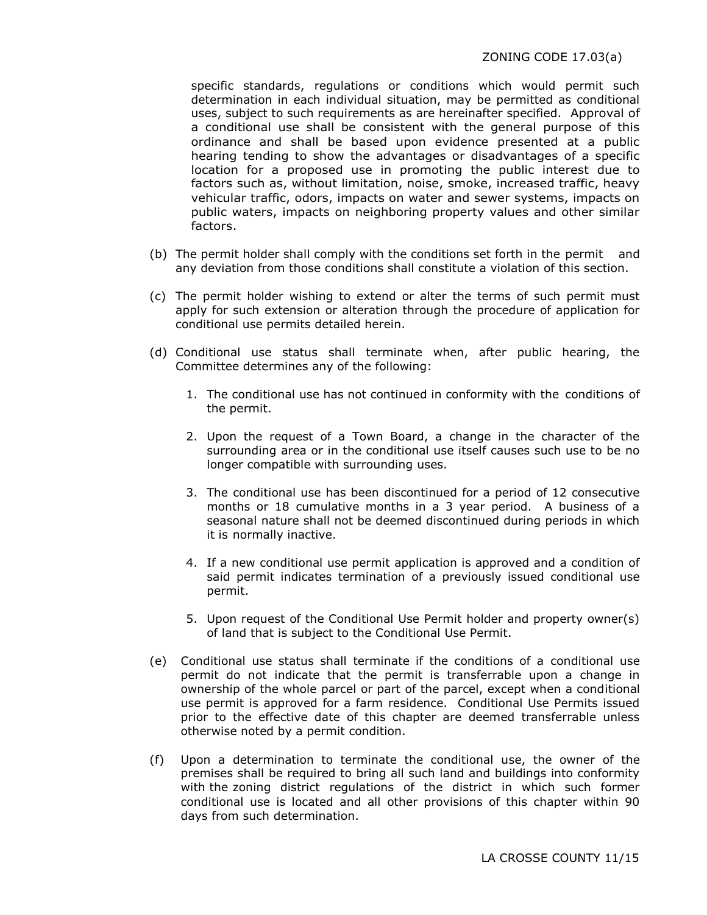specific standards, regulations or conditions which would permit such determination in each individual situation, may be permitted as conditional uses, subject to such requirements as are hereinafter specified. Approval of a conditional use shall be consistent with the general purpose of this ordinance and shall be based upon evidence presented at a public hearing tending to show the advantages or disadvantages of a specific location for a proposed use in promoting the public interest due to factors such as, without limitation, noise, smoke, increased traffic, heavy vehicular traffic, odors, impacts on water and sewer systems, impacts on public waters, impacts on neighboring property values and other similar factors.

- (b) The permit holder shall comply with the conditions set forth in the permit and any deviation from those conditions shall constitute a violation of this section.
- (c) The permit holder wishing to extend or alter the terms of such permit must apply for such extension or alteration through the procedure of application for conditional use permits detailed herein.
- (d) Conditional use status shall terminate when, after public hearing, the Committee determines any of the following:
	- 1. The conditional use has not continued in conformity with the conditions of the permit.
	- 2. Upon the request of a Town Board, a change in the character of the surrounding area or in the conditional use itself causes such use to be no longer compatible with surrounding uses.
	- 3. The conditional use has been discontinued for a period of 12 consecutive months or 18 cumulative months in a 3 year period. A business of a seasonal nature shall not be deemed discontinued during periods in which it is normally inactive.
	- 4. If a new conditional use permit application is approved and a condition of said permit indicates termination of a previously issued conditional use permit.
	- 5. Upon request of the Conditional Use Permit holder and property owner(s) of land that is subject to the Conditional Use Permit.
- (e) Conditional use status shall terminate if the conditions of a conditional use permit do not indicate that the permit is transferrable upon a change in ownership of the whole parcel or part of the parcel, except when a conditional use permit is approved for a farm residence. Conditional Use Permits issued prior to the effective date of this chapter are deemed transferrable unless otherwise noted by a permit condition.
- (f) Upon a determination to terminate the conditional use, the owner of the premises shall be required to bring all such land and buildings into conformity with the zoning district regulations of the district in which such former conditional use is located and all other provisions of this chapter within 90 days from such determination.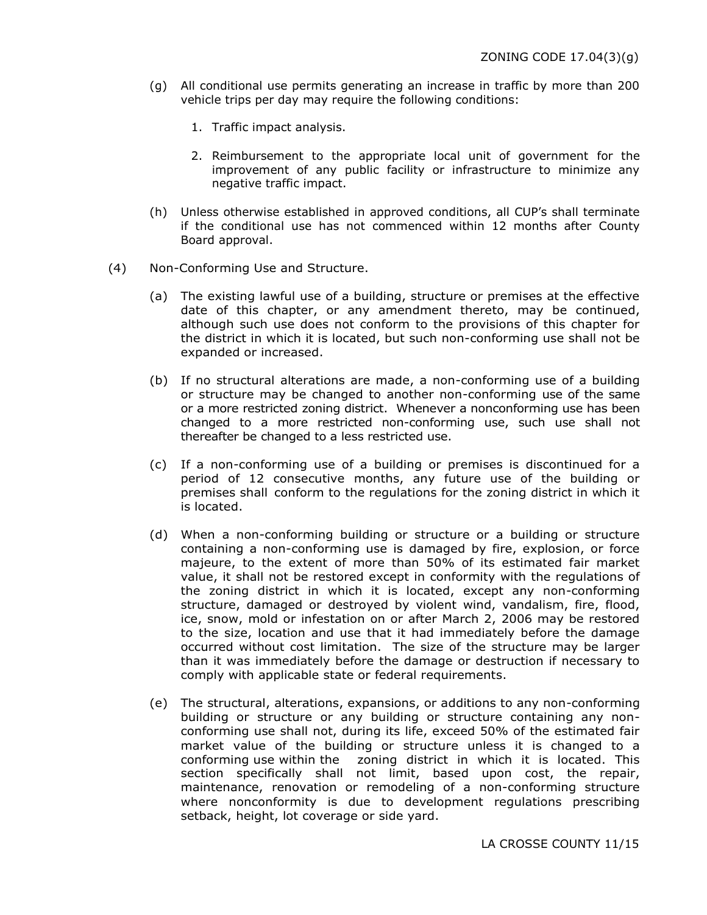- (g) All conditional use permits generating an increase in traffic by more than 200 vehicle trips per day may require the following conditions:
	- 1. Traffic impact analysis.
	- 2. Reimbursement to the appropriate local unit of government for the improvement of any public facility or infrastructure to minimize any negative traffic impact.
- (h) Unless otherwise established in approved conditions, all CUP's shall terminate if the conditional use has not commenced within 12 months after County Board approval.
- (4) Non-Conforming Use and Structure.
	- (a) The existing lawful use of a building, structure or premises at the effective date of this chapter, or any amendment thereto, may be continued, although such use does not conform to the provisions of this chapter for the district in which it is located, but such non-conforming use shall not be expanded or increased.
	- (b) If no structural alterations are made, a non-conforming use of a building or structure may be changed to another non-conforming use of the same or a more restricted zoning district. Whenever a nonconforming use has been changed to a more restricted non-conforming use, such use shall not thereafter be changed to a less restricted use.
	- (c) If a non-conforming use of a building or premises is discontinued for a period of 12 consecutive months, any future use of the building or premises shall conform to the regulations for the zoning district in which it is located.
	- (d) When a non-conforming building or structure or a building or structure containing a non-conforming use is damaged by fire, explosion, or force majeure, to the extent of more than 50% of its estimated fair market value, it shall not be restored except in conformity with the regulations of the zoning district in which it is located, except any non-conforming structure, damaged or destroyed by violent wind, vandalism, fire, flood, ice, snow, mold or infestation on or after March 2, 2006 may be restored to the size, location and use that it had immediately before the damage occurred without cost limitation. The size of the structure may be larger than it was immediately before the damage or destruction if necessary to comply with applicable state or federal requirements.
	- (e) The structural, alterations, expansions, or additions to any non-conforming building or structure or any building or structure containing any nonconforming use shall not, during its life, exceed 50% of the estimated fair market value of the building or structure unless it is changed to a conforming use within the zoning district in which it is located. This section specifically shall not limit, based upon cost, the repair, maintenance, renovation or remodeling of a non-conforming structure where nonconformity is due to development regulations prescribing setback, height, lot coverage or side yard.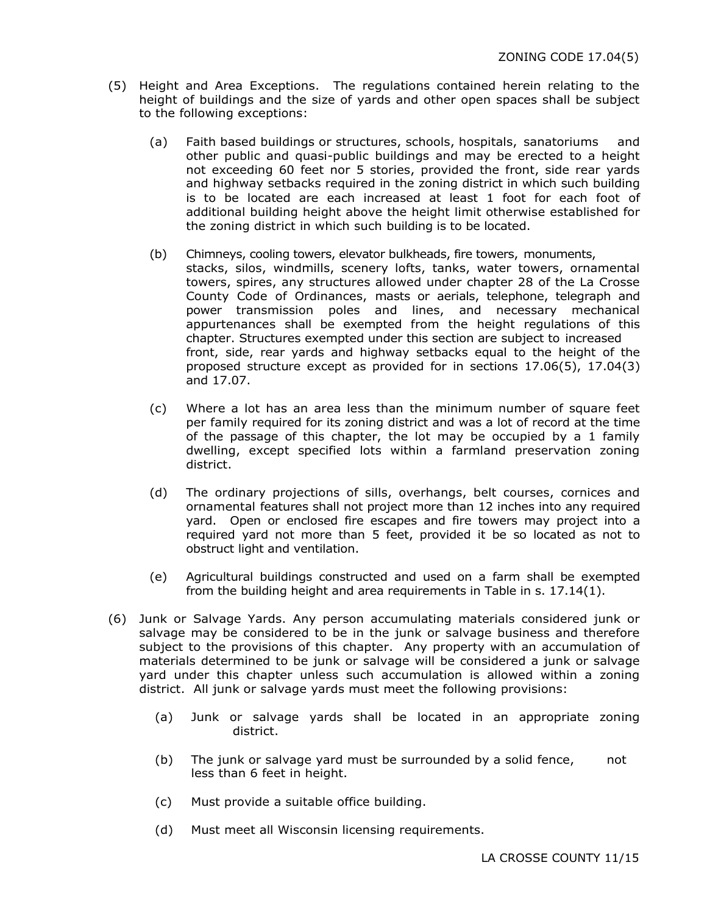- (5) Height and Area Exceptions. The regulations contained herein relating to the height of buildings and the size of yards and other open spaces shall be subject to the following exceptions:
	- (a) Faith based buildings or structures, schools, hospitals, sanatoriums and other public and quasi-public buildings and may be erected to a height not exceeding 60 feet nor 5 stories, provided the front, side rear yards and highway setbacks required in the zoning district in which such building is to be located are each increased at least 1 foot for each foot of additional building height above the height limit otherwise established for the zoning district in which such building is to be located.
	- (b) Chimneys, cooling towers, elevator bulkheads, fire towers, monuments, stacks, silos, windmills, scenery lofts, tanks, water towers, ornamental towers, spires, any structures allowed under chapter 28 of the La Crosse County Code of Ordinances, masts or aerials, telephone, telegraph and power transmission poles and lines, and necessary mechanical appurtenances shall be exempted from the height regulations of this chapter. Structures exempted under this section are subject to increased front, side, rear yards and highway setbacks equal to the height of the proposed structure except as provided for in sections 17.06(5), 17.04(3) and 17.07.
	- (c) Where a lot has an area less than the minimum number of square feet per family required for its zoning district and was a lot of record at the time of the passage of this chapter, the lot may be occupied by a 1 family dwelling, except specified lots within a farmland preservation zoning district.
	- (d) The ordinary projections of sills, overhangs, belt courses, cornices and ornamental features shall not project more than 12 inches into any required yard. Open or enclosed fire escapes and fire towers may project into a required yard not more than 5 feet, provided it be so located as not to obstruct light and ventilation.
	- (e) Agricultural buildings constructed and used on a farm shall be exempted from the building height and area requirements in Table in s. 17.14(1).
- (6) Junk or Salvage Yards. Any person accumulating materials considered junk or salvage may be considered to be in the junk or salvage business and therefore subject to the provisions of this chapter. Any property with an accumulation of materials determined to be junk or salvage will be considered a junk or salvage yard under this chapter unless such accumulation is allowed within a zoning district. All junk or salvage yards must meet the following provisions:
	- (a) Junk or salvage yards shall be located in an appropriate zoning district.
	- (b) The junk or salvage yard must be surrounded by a solid fence, not less than 6 feet in height.
	- (c) Must provide a suitable office building.
	- (d) Must meet all Wisconsin licensing requirements.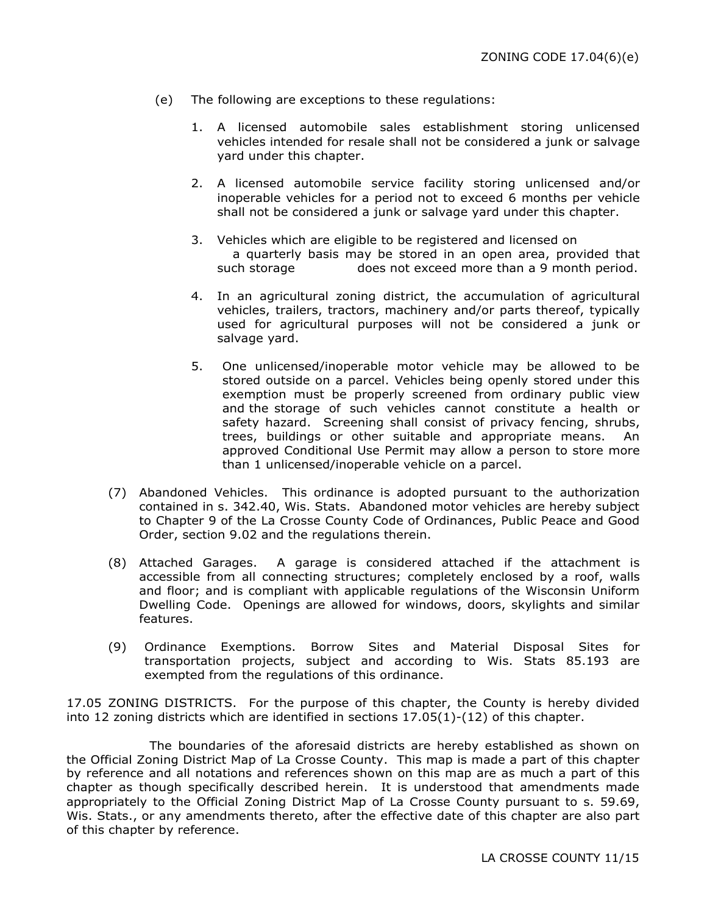- (e) The following are exceptions to these regulations:
	- 1. A licensed automobile sales establishment storing unlicensed vehicles intended for resale shall not be considered a junk or salvage yard under this chapter.
	- 2. A licensed automobile service facility storing unlicensed and/or inoperable vehicles for a period not to exceed 6 months per vehicle shall not be considered a junk or salvage yard under this chapter.
	- 3. Vehicles which are eligible to be registered and licensed on a quarterly basis may be stored in an open area, provided that such storage does not exceed more than a 9 month period.
	- 4. In an agricultural zoning district, the accumulation of agricultural vehicles, trailers, tractors, machinery and/or parts thereof, typically used for agricultural purposes will not be considered a junk or salvage yard.
	- 5. One unlicensed/inoperable motor vehicle may be allowed to be stored outside on a parcel. Vehicles being openly stored under this exemption must be properly screened from ordinary public view and the storage of such vehicles cannot constitute a health or safety hazard. Screening shall consist of privacy fencing, shrubs, trees, buildings or other suitable and appropriate means. An approved Conditional Use Permit may allow a person to store more than 1 unlicensed/inoperable vehicle on a parcel.
- (7) Abandoned Vehicles. This ordinance is adopted pursuant to the authorization contained in s. 342.40, Wis. Stats. Abandoned motor vehicles are hereby subject to Chapter 9 of the La Crosse County Code of Ordinances, Public Peace and Good Order, section 9.02 and the regulations therein.
- (8) Attached Garages. A garage is considered attached if the attachment is accessible from all connecting structures; completely enclosed by a roof, walls and floor; and is compliant with applicable regulations of the Wisconsin Uniform Dwelling Code. Openings are allowed for windows, doors, skylights and similar features.
- (9) Ordinance Exemptions. Borrow Sites and Material Disposal Sites for transportation projects, subject and according to Wis. Stats 85.193 are exempted from the regulations of this ordinance.

17.05 ZONING DISTRICTS. For the purpose of this chapter, the County is hereby divided into 12 zoning districts which are identified in sections 17.05(1)-(12) of this chapter.

The boundaries of the aforesaid districts are hereby established as shown on the Official Zoning District Map of La Crosse County. This map is made a part of this chapter by reference and all notations and references shown on this map are as much a part of this chapter as though specifically described herein. It is understood that amendments made appropriately to the Official Zoning District Map of La Crosse County pursuant to s. 59.69, Wis. Stats., or any amendments thereto, after the effective date of this chapter are also part of this chapter by reference.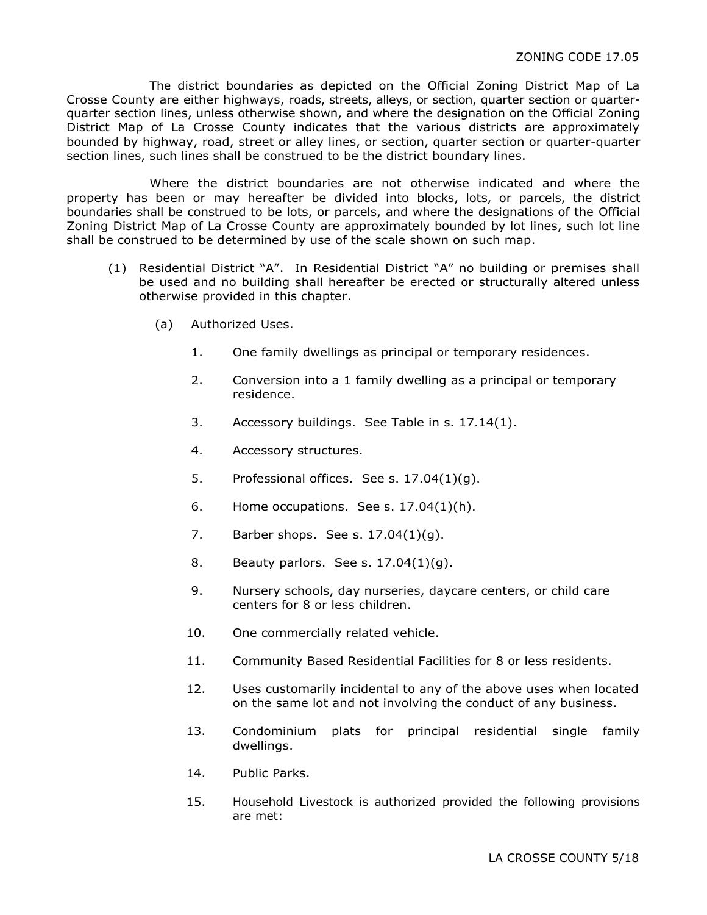The district boundaries as depicted on the Official Zoning District Map of La Crosse County are either highways, roads, streets, alleys, or section, quarter section or quarterquarter section lines, unless otherwise shown, and where the designation on the Official Zoning District Map of La Crosse County indicates that the various districts are approximately bounded by highway, road, street or alley lines, or section, quarter section or quarter-quarter section lines, such lines shall be construed to be the district boundary lines.

Where the district boundaries are not otherwise indicated and where the property has been or may hereafter be divided into blocks, lots, or parcels, the district boundaries shall be construed to be lots, or parcels, and where the designations of the Official Zoning District Map of La Crosse County are approximately bounded by lot lines, such lot line shall be construed to be determined by use of the scale shown on such map.

- (1) Residential District "A". In Residential District "A" no building or premises shall be used and no building shall hereafter be erected or structurally altered unless otherwise provided in this chapter.
	- (a) Authorized Uses.
		- 1. One family dwellings as principal or temporary residences.
		- 2. Conversion into a 1 family dwelling as a principal or temporary residence.
		- 3. Accessory buildings. See Table in s. 17.14(1).
		- 4. Accessory structures.
		- 5. Professional offices. See s. 17.04(1)(g).
		- 6. Home occupations. See s.  $17.04(1)(h)$ .
		- 7. Barber shops. See s. 17.04(1)(g).
		- 8. Beauty parlors. See s. 17.04(1)(g).
		- 9. Nursery schools, day nurseries, daycare centers, or child care centers for 8 or less children.
		- 10. One commercially related vehicle.
		- 11. Community Based Residential Facilities for 8 or less residents.
		- 12. Uses customarily incidental to any of the above uses when located on the same lot and not involving the conduct of any business.
		- 13. Condominium plats for principal residential single family dwellings.
		- 14. Public Parks.
		- 15. Household Livestock is authorized provided the following provisions are met: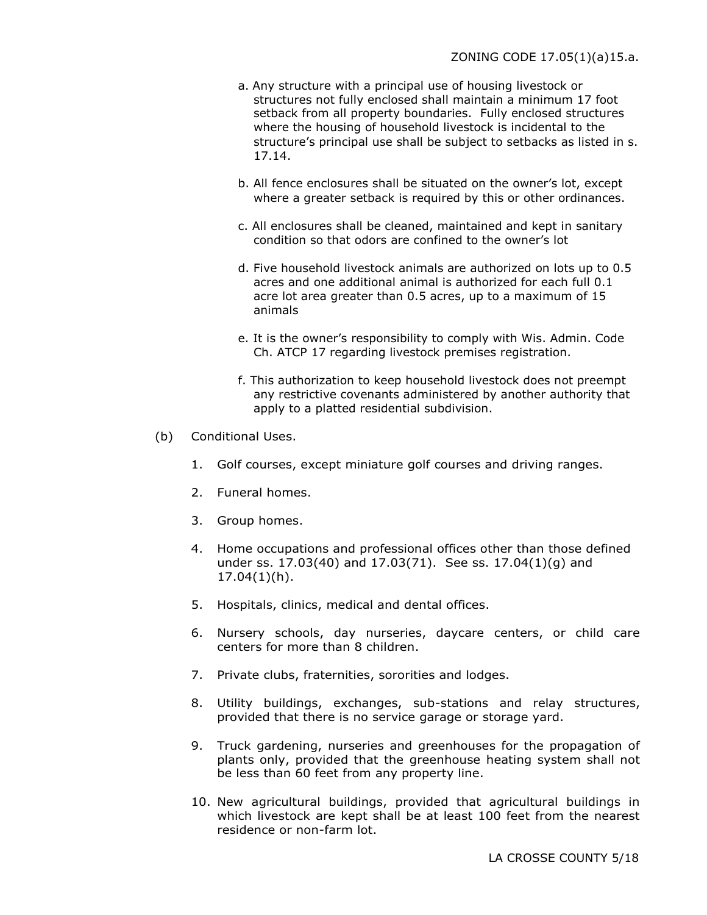- a. Any structure with a principal use of housing livestock or structures not fully enclosed shall maintain a minimum 17 foot setback from all property boundaries. Fully enclosed structures where the housing of household livestock is incidental to the structure's principal use shall be subject to setbacks as listed in s. 17.14.
- b. All fence enclosures shall be situated on the owner's lot, except where a greater setback is required by this or other ordinances.
- c. All enclosures shall be cleaned, maintained and kept in sanitary condition so that odors are confined to the owner's lot
- d. Five household livestock animals are authorized on lots up to 0.5 acres and one additional animal is authorized for each full 0.1 acre lot area greater than 0.5 acres, up to a maximum of 15 animals
- e. It is the owner's responsibility to comply with Wis. Admin. Code Ch. ATCP 17 regarding livestock premises registration.
- f. This authorization to keep household livestock does not preempt any restrictive covenants administered by another authority that apply to a platted residential subdivision.
- (b) Conditional Uses.
	- 1. Golf courses, except miniature golf courses and driving ranges.
	- 2. Funeral homes.
	- 3. Group homes.
	- 4. Home occupations and professional offices other than those defined under ss. 17.03(40) and 17.03(71). See ss. 17.04(1)(g) and 17.04(1)(h).
	- 5. Hospitals, clinics, medical and dental offices.
	- 6. Nursery schools, day nurseries, daycare centers, or child care centers for more than 8 children.
	- 7. Private clubs, fraternities, sororities and lodges.
	- 8. Utility buildings, exchanges, sub-stations and relay structures, provided that there is no service garage or storage yard.
	- 9. Truck gardening, nurseries and greenhouses for the propagation of plants only, provided that the greenhouse heating system shall not be less than 60 feet from any property line.
	- 10. New agricultural buildings, provided that agricultural buildings in which livestock are kept shall be at least 100 feet from the nearest residence or non-farm lot.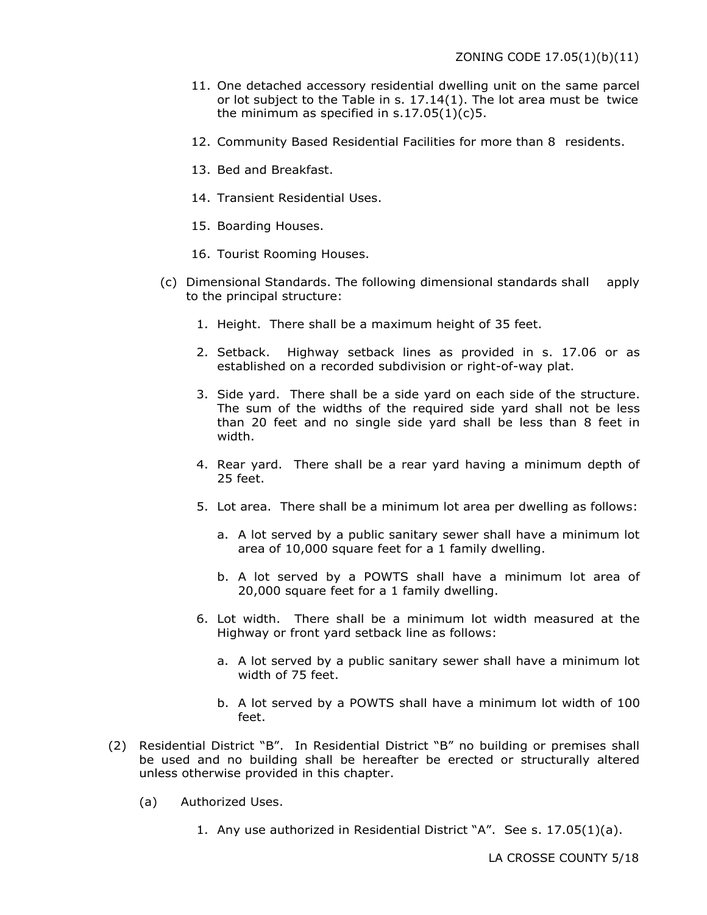- 11. One detached accessory residential dwelling unit on the same parcel or lot subject to the Table in s.  $17.14(1)$ . The lot area must be twice the minimum as specified in  $s.17.05(1)(c)5$ .
- 12. Community Based Residential Facilities for more than 8 residents.
- 13. Bed and Breakfast.
- 14. Transient Residential Uses.
- 15. Boarding Houses.
- 16. Tourist Rooming Houses.
- (c) Dimensional Standards. The following dimensional standards shall apply to the principal structure:
	- 1. Height. There shall be a maximum height of 35 feet.
	- 2. Setback. Highway setback lines as provided in s. 17.06 or as established on a recorded subdivision or right-of-way plat.
	- 3. Side yard. There shall be a side yard on each side of the structure. The sum of the widths of the required side yard shall not be less than 20 feet and no single side yard shall be less than 8 feet in width.
	- 4. Rear yard. There shall be a rear yard having a minimum depth of 25 feet.
	- 5. Lot area. There shall be a minimum lot area per dwelling as follows:
		- a. A lot served by a public sanitary sewer shall have a minimum lot area of 10,000 square feet for a 1 family dwelling.
		- b. A lot served by a POWTS shall have a minimum lot area of 20,000 square feet for a 1 family dwelling.
	- 6. Lot width. There shall be a minimum lot width measured at the Highway or front yard setback line as follows:
		- a. A lot served by a public sanitary sewer shall have a minimum lot width of 75 feet.
		- b. A lot served by a POWTS shall have a minimum lot width of 100 feet.
- (2) Residential District "B". In Residential District "B" no building or premises shall be used and no building shall be hereafter be erected or structurally altered unless otherwise provided in this chapter.
	- (a) Authorized Uses.
		- 1. Any use authorized in Residential District "A". See s. 17.05(1)(a).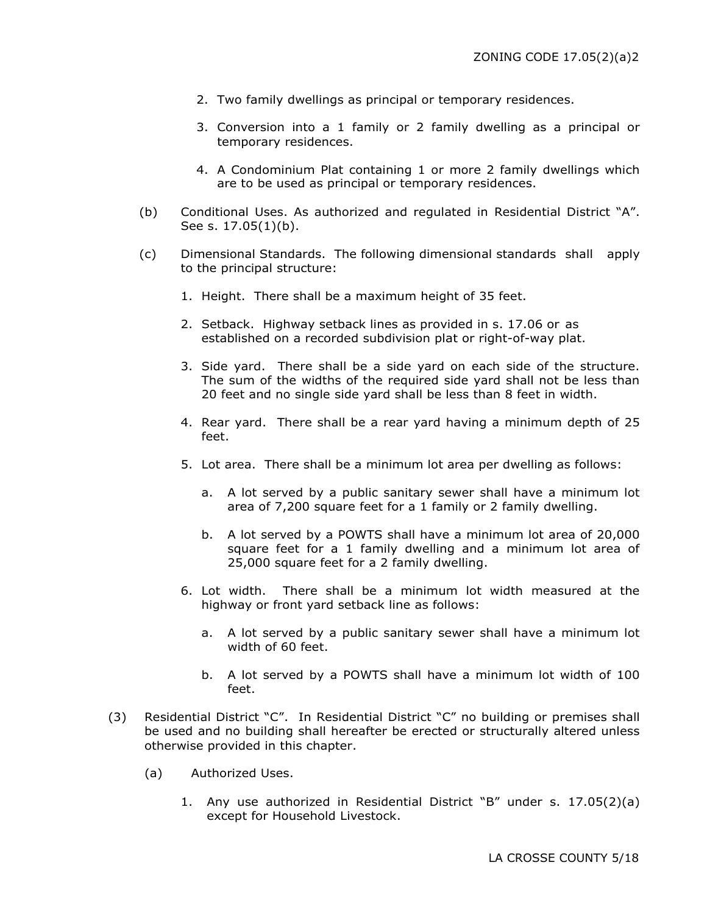- 2. Two family dwellings as principal or temporary residences.
- 3. Conversion into a 1 family or 2 family dwelling as a principal or temporary residences.
- 4. A Condominium Plat containing 1 or more 2 family dwellings which are to be used as principal or temporary residences.
- (b) Conditional Uses. As authorized and regulated in Residential District "A". See s. 17.05(1)(b).
- (c) Dimensional Standards. The following dimensional standards shall apply to the principal structure:
	- 1. Height. There shall be a maximum height of 35 feet.
	- 2. Setback. Highway setback lines as provided in s. 17.06 or as established on a recorded subdivision plat or right-of-way plat.
	- 3. Side yard. There shall be a side yard on each side of the structure. The sum of the widths of the required side yard shall not be less than 20 feet and no single side yard shall be less than 8 feet in width.
	- 4. Rear yard. There shall be a rear yard having a minimum depth of 25 feet.
	- 5. Lot area. There shall be a minimum lot area per dwelling as follows:
		- a. A lot served by a public sanitary sewer shall have a minimum lot area of 7,200 square feet for a 1 family or 2 family dwelling.
		- b. A lot served by a POWTS shall have a minimum lot area of 20,000 square feet for a 1 family dwelling and a minimum lot area of 25,000 square feet for a 2 family dwelling.
	- 6. Lot width. There shall be a minimum lot width measured at the highway or front yard setback line as follows:
		- a. A lot served by a public sanitary sewer shall have a minimum lot width of 60 feet.
		- b. A lot served by a POWTS shall have a minimum lot width of 100 feet.
- (3) Residential District "C". In Residential District "C" no building or premises shall be used and no building shall hereafter be erected or structurally altered unless otherwise provided in this chapter.
	- (a) Authorized Uses.
		- 1. Any use authorized in Residential District "B" under s. 17.05(2)(a) except for Household Livestock.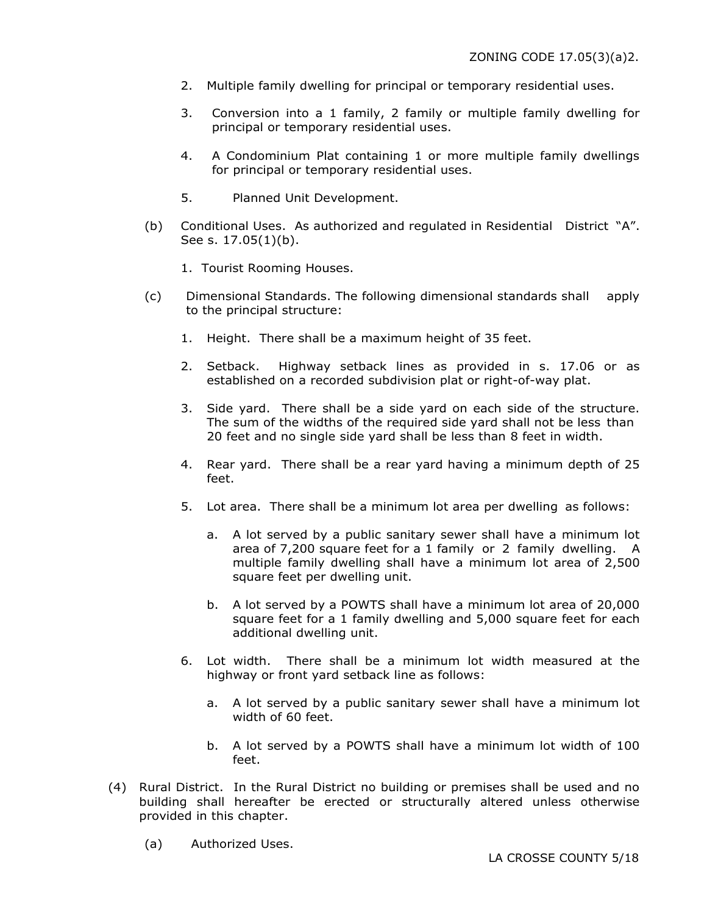- 2. Multiple family dwelling for principal or temporary residential uses.
- 3. Conversion into a 1 family, 2 family or multiple family dwelling for principal or temporary residential uses.
- 4. A Condominium Plat containing 1 or more multiple family dwellings for principal or temporary residential uses.
- 5. Planned Unit Development.
- (b) Conditional Uses. As authorized and regulated in Residential District "A". See s. 17.05(1)(b).
	- 1. Tourist Rooming Houses.
- (c) Dimensional Standards. The following dimensional standards shall apply to the principal structure:
	- 1. Height. There shall be a maximum height of 35 feet.
	- 2. Setback. Highway setback lines as provided in s. 17.06 or as established on a recorded subdivision plat or right-of-way plat.
	- 3. Side yard. There shall be a side yard on each side of the structure. The sum of the widths of the required side yard shall not be less than 20 feet and no single side yard shall be less than 8 feet in width.
	- 4. Rear yard. There shall be a rear yard having a minimum depth of 25 feet.
	- 5. Lot area. There shall be a minimum lot area per dwelling as follows:
		- a. A lot served by a public sanitary sewer shall have a minimum lot area of 7,200 square feet for a 1 family or 2 family dwelling. A multiple family dwelling shall have a minimum lot area of 2,500 square feet per dwelling unit.
		- b. A lot served by a POWTS shall have a minimum lot area of 20,000 square feet for a 1 family dwelling and 5,000 square feet for each additional dwelling unit.
	- 6. Lot width. There shall be a minimum lot width measured at the highway or front yard setback line as follows:
		- a. A lot served by a public sanitary sewer shall have a minimum lot width of 60 feet.
		- b. A lot served by a POWTS shall have a minimum lot width of 100 feet.
- (4) Rural District. In the Rural District no building or premises shall be used and no building shall hereafter be erected or structurally altered unless otherwise provided in this chapter.
	- (a) Authorized Uses.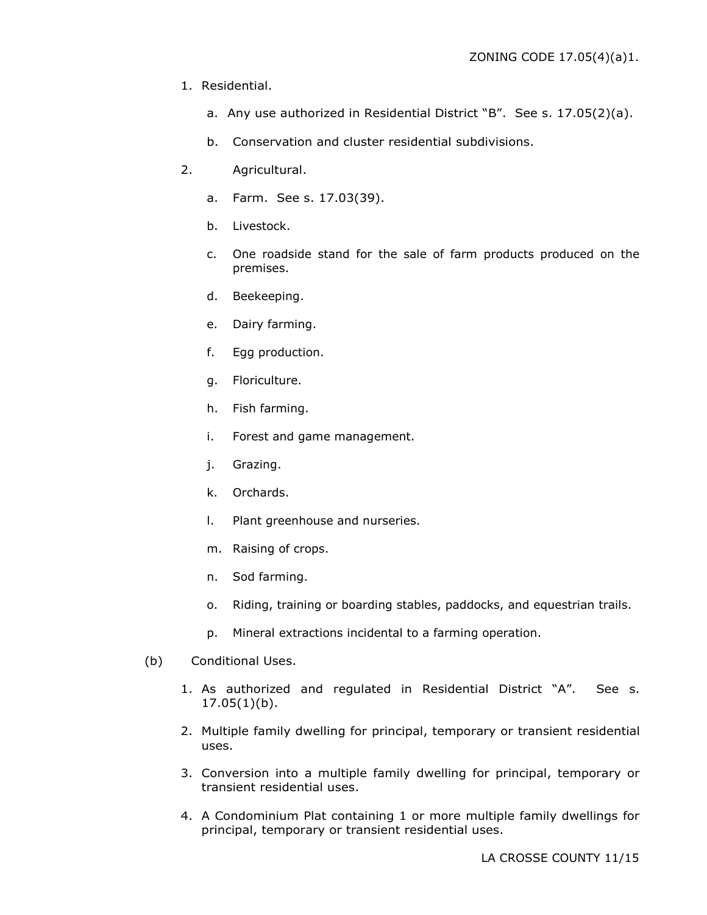- 1. Residential.
	- a. Any use authorized in Residential District "B". See s. 17.05(2)(a).
	- b. Conservation and cluster residential subdivisions.
- 2. Agricultural.
	- a. Farm. See s. 17.03(39).
	- b. Livestock.
	- c. One roadside stand for the sale of farm products produced on the premises.
	- d. Beekeeping.
	- e. Dairy farming.
	- f. Egg production.
	- g. Floriculture.
	- h. Fish farming.
	- i. Forest and game management.
	- j. Grazing.
	- k. Orchards.
	- l. Plant greenhouse and nurseries.
	- m. Raising of crops.
	- n. Sod farming.
	- o. Riding, training or boarding stables, paddocks, and equestrian trails.
	- p. Mineral extractions incidental to a farming operation.
- (b) Conditional Uses.
	- 1. As authorized and regulated in Residential District "A". See s. 17.05(1)(b).
	- 2. Multiple family dwelling for principal, temporary or transient residential uses.
	- 3. Conversion into a multiple family dwelling for principal, temporary or transient residential uses.
	- 4. A Condominium Plat containing 1 or more multiple family dwellings for principal, temporary or transient residential uses.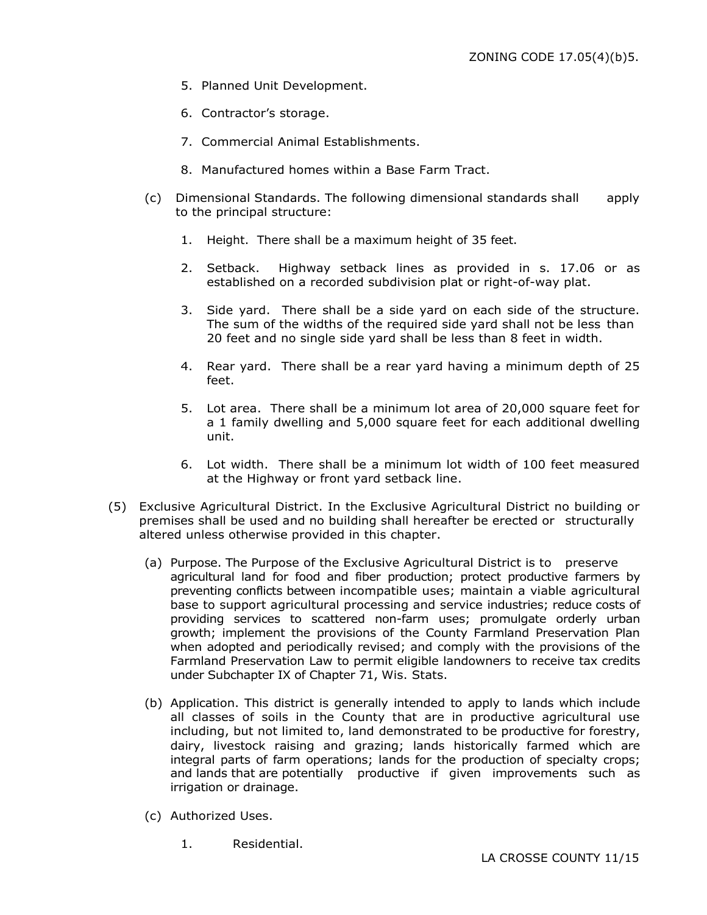- 5. Planned Unit Development.
- 6. Contractor's storage.
- 7. Commercial Animal Establishments.
- 8. Manufactured homes within a Base Farm Tract.
- (c) Dimensional Standards. The following dimensional standards shall apply to the principal structure:
	- 1. Height. There shall be a maximum height of 35 feet.
	- 2. Setback. Highway setback lines as provided in s. 17.06 or as established on a recorded subdivision plat or right-of-way plat.
	- 3. Side yard. There shall be a side yard on each side of the structure. The sum of the widths of the required side yard shall not be less than 20 feet and no single side yard shall be less than 8 feet in width.
	- 4. Rear yard. There shall be a rear yard having a minimum depth of 25 feet.
	- 5. Lot area. There shall be a minimum lot area of 20,000 square feet for a 1 family dwelling and 5,000 square feet for each additional dwelling unit.
	- 6. Lot width. There shall be a minimum lot width of 100 feet measured at the Highway or front yard setback line.
- (5) Exclusive Agricultural District. In the Exclusive Agricultural District no building or premises shall be used and no building shall hereafter be erected or structurally altered unless otherwise provided in this chapter.
	- (a) Purpose. The Purpose of the Exclusive Agricultural District is to preserve agricultural land for food and fiber production; protect productive farmers by preventing conflicts between incompatible uses; maintain a viable agricultural base to support agricultural processing and service industries; reduce costs of providing services to scattered non-farm uses; promulgate orderly urban growth; implement the provisions of the County Farmland Preservation Plan when adopted and periodically revised; and comply with the provisions of the Farmland Preservation Law to permit eligible landowners to receive tax credits under Subchapter IX of Chapter 71, Wis. Stats.
	- (b) Application. This district is generally intended to apply to lands which include all classes of soils in the County that are in productive agricultural use including, but not limited to, land demonstrated to be productive for forestry, dairy, livestock raising and grazing; lands historically farmed which are integral parts of farm operations; lands for the production of specialty crops; and lands that are potentially productive if given improvements such as irrigation or drainage.
	- (c) Authorized Uses.
		- 1. Residential.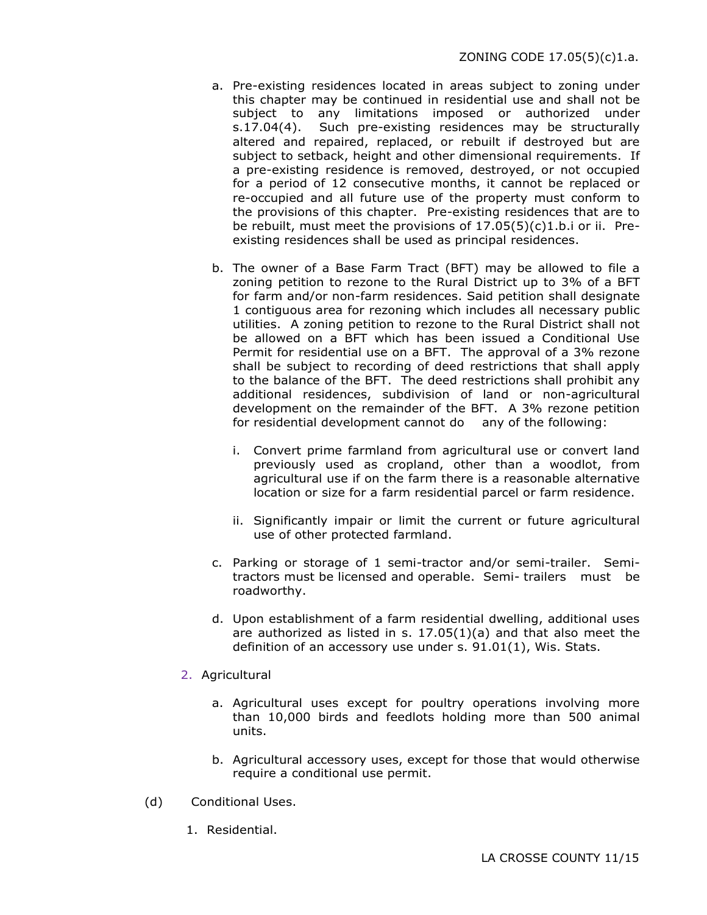- a. Pre-existing residences located in areas subject to zoning under this chapter may be continued in residential use and shall not be subject to any limitations imposed or authorized under s.17.04(4). Such pre-existing residences may be structurally altered and repaired, replaced, or rebuilt if destroyed but are subject to setback, height and other dimensional requirements. If a pre-existing residence is removed, destroyed, or not occupied for a period of 12 consecutive months, it cannot be replaced or re-occupied and all future use of the property must conform to the provisions of this chapter. Pre-existing residences that are to be rebuilt, must meet the provisions of  $17.05(5)(c)1.b.i$  or ii. Preexisting residences shall be used as principal residences.
- b. The owner of a Base Farm Tract (BFT) may be allowed to file a zoning petition to rezone to the Rural District up to 3% of a BFT for farm and/or non-farm residences. Said petition shall designate 1 contiguous area for rezoning which includes all necessary public utilities. A zoning petition to rezone to the Rural District shall not be allowed on a BFT which has been issued a Conditional Use Permit for residential use on a BFT. The approval of a 3% rezone shall be subject to recording of deed restrictions that shall apply to the balance of the BFT. The deed restrictions shall prohibit any additional residences, subdivision of land or non-agricultural development on the remainder of the BFT. A 3% rezone petition for residential development cannot do any of the following:
	- i. Convert prime farmland from agricultural use or convert land previously used as cropland, other than a woodlot, from agricultural use if on the farm there is a reasonable alternative location or size for a farm residential parcel or farm residence.
	- ii. Significantly impair or limit the current or future agricultural use of other protected farmland.
- c. Parking or storage of 1 semi-tractor and/or semi-trailer. Semitractors must be licensed and operable. Semi- trailers must be roadworthy.
- d. Upon establishment of a farm residential dwelling, additional uses are authorized as listed in s.  $17.05(1)(a)$  and that also meet the definition of an accessory use under s. 91.01(1), Wis. Stats.
- 2. Agricultural
	- a. Agricultural uses except for poultry operations involving more than 10,000 birds and feedlots holding more than 500 animal units.
	- b. Agricultural accessory uses, except for those that would otherwise require a conditional use permit.
- (d) Conditional Uses.
	- 1. Residential.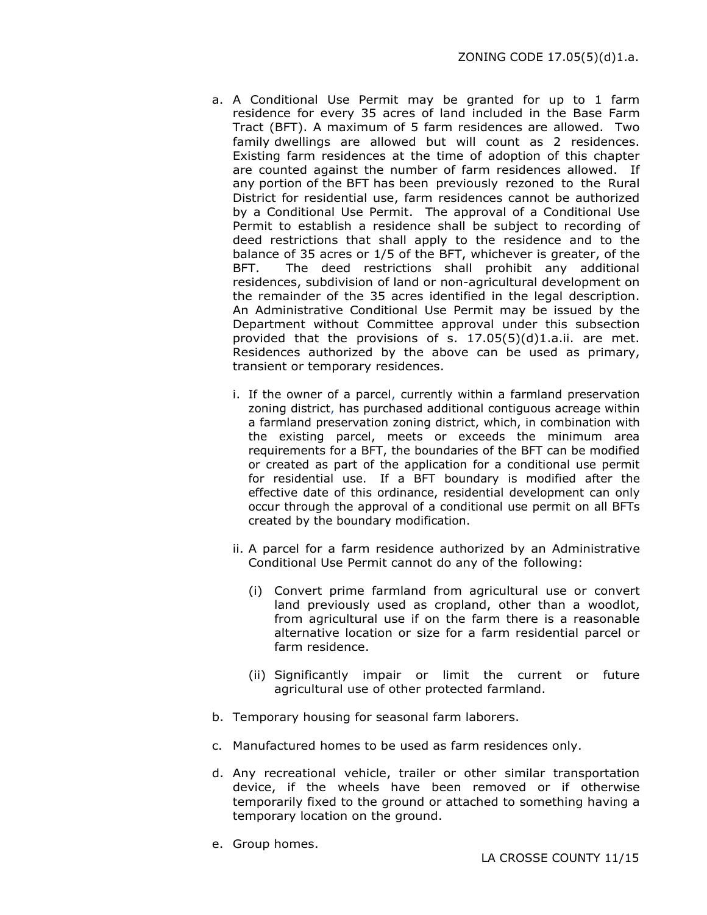- a. A Conditional Use Permit may be granted for up to 1 farm residence for every 35 acres of land included in the Base Farm Tract (BFT). A maximum of 5 farm residences are allowed. Two family dwellings are allowed but will count as 2 residences. Existing farm residences at the time of adoption of this chapter are counted against the number of farm residences allowed. If any portion of the BFT has been previously rezoned to the Rural District for residential use, farm residences cannot be authorized by a Conditional Use Permit. The approval of a Conditional Use Permit to establish a residence shall be subject to recording of deed restrictions that shall apply to the residence and to the balance of 35 acres or 1/5 of the BFT, whichever is greater, of the BFT. The deed restrictions shall prohibit any additional residences, subdivision of land or non-agricultural development on the remainder of the 35 acres identified in the legal description. An Administrative Conditional Use Permit may be issued by the Department without Committee approval under this subsection provided that the provisions of s.  $17.05(5)(d)1.a.$ ii. are met. Residences authorized by the above can be used as primary, transient or temporary residences.
	- i. If the owner of a parcel, currently within a farmland preservation zoning district, has purchased additional contiguous acreage within a farmland preservation zoning district, which, in combination with the existing parcel, meets or exceeds the minimum area requirements for a BFT, the boundaries of the BFT can be modified or created as part of the application for a conditional use permit for residential use. If a BFT boundary is modified after the effective date of this ordinance, residential development can only occur through the approval of a conditional use permit on all BFTs created by the boundary modification.
	- ii. A parcel for a farm residence authorized by an Administrative Conditional Use Permit cannot do any of the following:
		- (i) Convert prime farmland from agricultural use or convert land previously used as cropland, other than a woodlot, from agricultural use if on the farm there is a reasonable alternative location or size for a farm residential parcel or farm residence.
		- (ii) Significantly impair or limit the current or future agricultural use of other protected farmland.
- b. Temporary housing for seasonal farm laborers.
- c. Manufactured homes to be used as farm residences only.
- d. Any recreational vehicle, trailer or other similar transportation device, if the wheels have been removed or if otherwise temporarily fixed to the ground or attached to something having a temporary location on the ground.
- e. Group homes.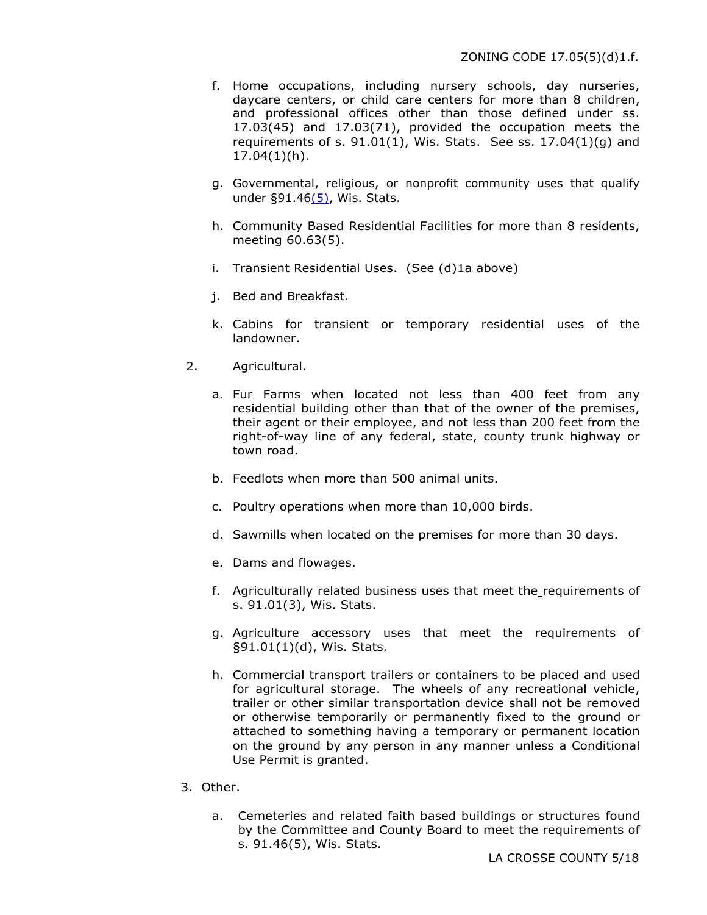- f. Home occupations, including nursery schools, day nurseries, daycare centers, or child care centers for more than 8 children, and professional offices other than those defined under ss. 17.03(45) and 17.03(71), provided the occupation meets the requirements of s.  $91.01(1)$ , Wis. Stats. See ss.  $17.04(1)(q)$  and 17.04(1)(h).
- g. Governmental, religious, or nonprofit community uses that qualify under  $\S91.46(5)$ , Wis. Stats.
- h. Community Based Residential Facilities for more than 8 residents, meeting 60.63(5).
- i. Transient Residential Uses. (See (d)1a above)
- j. Bed and Breakfast.
- k. Cabins for transient or temporary residential uses of the landowner.
- 2. Agricultural.
	- a. Fur Farms when located not less than 400 feet from any residential building other than that of the owner of the premises, their agent or their employee, and not less than 200 feet from the right-of-way line of any federal, state, county trunk highway or town road.
	- b. Feedlots when more than 500 animal units.
	- c. Poultry operations when more than 10,000 birds.
	- d. Sawmills when located on the premises for more than 30 days.
	- e. Dams and flowages.
	- f. Agriculturally related business uses that meet the requirements of s. 91.01(3), Wis. Stats.
	- g. Agriculture accessory uses that meet the requirements of §91.01(1)(d), Wis. Stats.
	- h. Commercial transport trailers or containers to be placed and used for agricultural storage. The wheels of any recreational vehicle, trailer or other similar transportation device shall not be removed or otherwise temporarily or permanently fixed to the ground or attached to something having a temporary or permanent location on the ground by any person in any manner unless a Conditional Use Permit is granted.
- 3. Other.
	- a. Cemeteries and related faith based buildings or structures found by the Committee and County Board to meet the requirements of s. 91.46(5), Wis. Stats.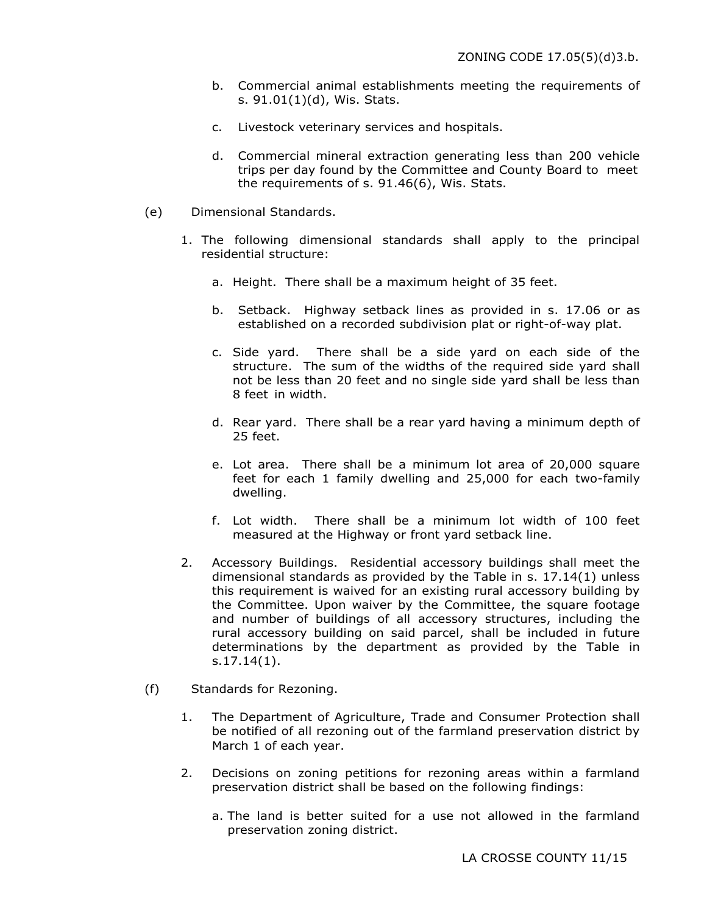- b. Commercial animal establishments meeting the requirements of s. 91.01(1)(d), Wis. Stats.
- c. Livestock veterinary services and hospitals.
- d. Commercial mineral extraction generating less than 200 vehicle trips per day found by the Committee and County Board to meet the requirements of s. 91.46(6), Wis. Stats.
- (e) Dimensional Standards.
	- 1. The following dimensional standards shall apply to the principal residential structure:
		- a. Height. There shall be a maximum height of 35 feet.
		- b. Setback. Highway setback lines as provided in s. 17.06 or as established on a recorded subdivision plat or right-of-way plat.
		- c. Side yard. There shall be a side yard on each side of the structure. The sum of the widths of the required side yard shall not be less than 20 feet and no single side yard shall be less than 8 feet in width.
		- d. Rear yard. There shall be a rear yard having a minimum depth of 25 feet.
		- e. Lot area. There shall be a minimum lot area of 20,000 square feet for each 1 family dwelling and 25,000 for each two-family dwelling.
		- f. Lot width. There shall be a minimum lot width of 100 feet measured at the Highway or front yard setback line.
	- 2. Accessory Buildings. Residential accessory buildings shall meet the dimensional standards as provided by the Table in s. 17.14(1) unless this requirement is waived for an existing rural accessory building by the Committee. Upon waiver by the Committee, the square footage and number of buildings of all accessory structures, including the rural accessory building on said parcel, shall be included in future determinations by the department as provided by the Table in s.17.14(1).
- (f) Standards for Rezoning.
	- 1. The Department of Agriculture, Trade and Consumer Protection shall be notified of all rezoning out of the farmland preservation district by March 1 of each year.
	- 2. Decisions on zoning petitions for rezoning areas within a farmland preservation district shall be based on the following findings:
		- a. The land is better suited for a use not allowed in the farmland preservation zoning district.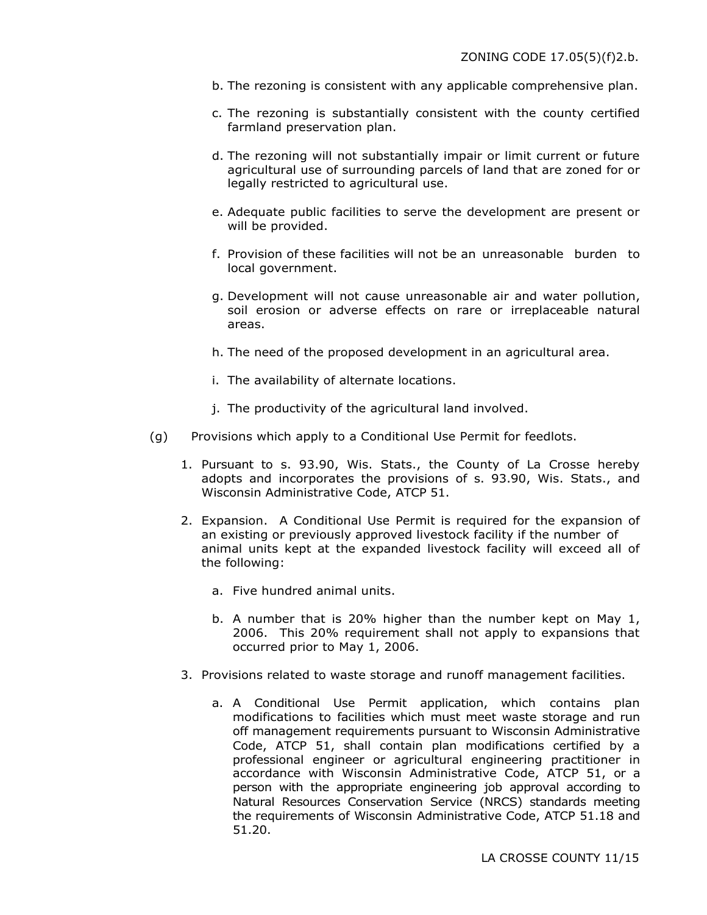- b. The rezoning is consistent with any applicable comprehensive plan.
- c. The rezoning is substantially consistent with the county certified farmland preservation plan.
- d. The rezoning will not substantially impair or limit current or future agricultural use of surrounding parcels of land that are zoned for or legally restricted to agricultural use.
- e. Adequate public facilities to serve the development are present or will be provided.
- f. Provision of these facilities will not be an unreasonable burden to local government.
- g. Development will not cause unreasonable air and water pollution, soil erosion or adverse effects on rare or irreplaceable natural areas.
- h. The need of the proposed development in an agricultural area.
- i. The availability of alternate locations.
- j. The productivity of the agricultural land involved.
- (g) Provisions which apply to a Conditional Use Permit for feedlots.
	- 1. Pursuant to s. 93.90, Wis. Stats., the County of La Crosse hereby adopts and incorporates the provisions of s. 93.90, Wis. Stats., and Wisconsin Administrative Code, ATCP 51.
	- 2. Expansion. A Conditional Use Permit is required for the expansion of an existing or previously approved livestock facility if the number of animal units kept at the expanded livestock facility will exceed all of the following:
		- a. Five hundred animal units.
		- b. A number that is 20% higher than the number kept on May 1, 2006. This 20% requirement shall not apply to expansions that occurred prior to May 1, 2006.
	- 3. Provisions related to waste storage and runoff management facilities.
		- a. A Conditional Use Permit application, which contains plan modifications to facilities which must meet waste storage and run off management requirements pursuant to Wisconsin Administrative Code, ATCP 51, shall contain plan modifications certified by a professional engineer or agricultural engineering practitioner in accordance with Wisconsin Administrative Code, ATCP 51, or a person with the appropriate engineering job approval according to Natural Resources Conservation Service (NRCS) standards meeting the requirements of Wisconsin Administrative Code, ATCP 51.18 and 51.20.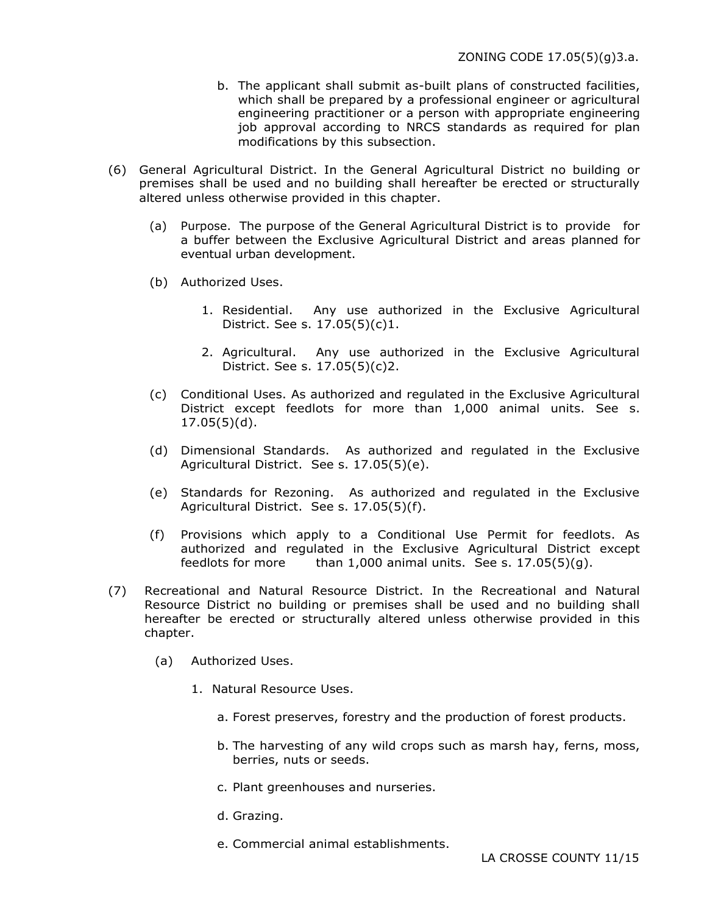- b. The applicant shall submit as-built plans of constructed facilities, which shall be prepared by a professional engineer or agricultural engineering practitioner or a person with appropriate engineering job approval according to NRCS standards as required for plan modifications by this subsection.
- (6) General Agricultural District. In the General Agricultural District no building or premises shall be used and no building shall hereafter be erected or structurally altered unless otherwise provided in this chapter.
	- (a) Purpose. The purpose of the General Agricultural District is to provide for a buffer between the Exclusive Agricultural District and areas planned for eventual urban development.
	- (b) Authorized Uses.
		- 1. Residential. Any use authorized in the Exclusive Agricultural District. See s. 17.05(5)(c)1.
		- 2. Agricultural. Any use authorized in the Exclusive Agricultural District. See s. 17.05(5)(c)2.
	- (c) Conditional Uses. As authorized and regulated in the Exclusive Agricultural District except feedlots for more than 1,000 animal units. See s. 17.05(5)(d).
	- (d) Dimensional Standards. As authorized and regulated in the Exclusive Agricultural District. See s. 17.05(5)(e).
	- (e) Standards for Rezoning. As authorized and regulated in the Exclusive Agricultural District. See s. 17.05(5)(f).
	- (f) Provisions which apply to a Conditional Use Permit for feedlots. As authorized and regulated in the Exclusive Agricultural District except feedlots for more than  $1,000$  animal units. See s.  $17.05(5)(q)$ .
- (7) Recreational and Natural Resource District. In the Recreational and Natural Resource District no building or premises shall be used and no building shall hereafter be erected or structurally altered unless otherwise provided in this chapter.
	- (a) Authorized Uses.
		- 1. Natural Resource Uses.
			- a. Forest preserves, forestry and the production of forest products.
			- b. The harvesting of any wild crops such as marsh hay, ferns, moss, berries, nuts or seeds.
			- c. Plant greenhouses and nurseries.
			- d. Grazing.
			- e. Commercial animal establishments.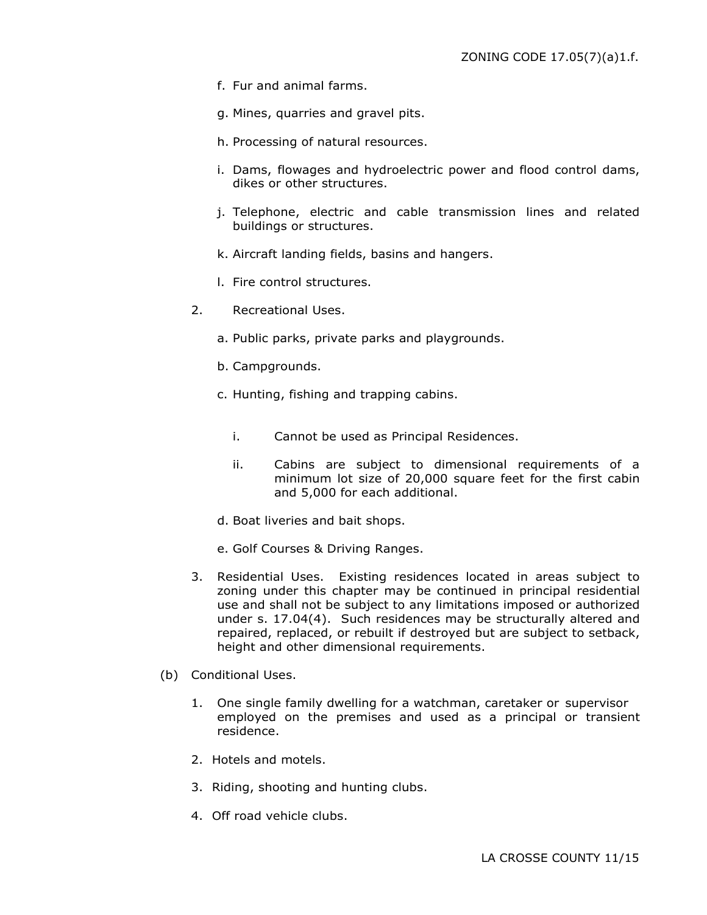- f. Fur and animal farms.
- g. Mines, quarries and gravel pits.
- h. Processing of natural resources.
- i. Dams, flowages and hydroelectric power and flood control dams, dikes or other structures.
- j. Telephone, electric and cable transmission lines and related buildings or structures.
- k. Aircraft landing fields, basins and hangers.
- l. Fire control structures.
- 2. Recreational Uses.
	- a. Public parks, private parks and playgrounds.
	- b. Campgrounds.
	- c. Hunting, fishing and trapping cabins.
		- i. Cannot be used as Principal Residences.
		- ii. Cabins are subject to dimensional requirements of a minimum lot size of 20,000 square feet for the first cabin and 5,000 for each additional.
	- d. Boat liveries and bait shops.
	- e. Golf Courses & Driving Ranges.
- 3. Residential Uses. Existing residences located in areas subject to zoning under this chapter may be continued in principal residential use and shall not be subject to any limitations imposed or authorized under s. 17.04(4). Such residences may be structurally altered and repaired, replaced, or rebuilt if destroyed but are subject to setback, height and other dimensional requirements.
- (b) Conditional Uses.
	- 1. One single family dwelling for a watchman, caretaker or supervisor employed on the premises and used as a principal or transient residence.
	- 2. Hotels and motels.
	- 3. Riding, shooting and hunting clubs.
	- 4. Off road vehicle clubs.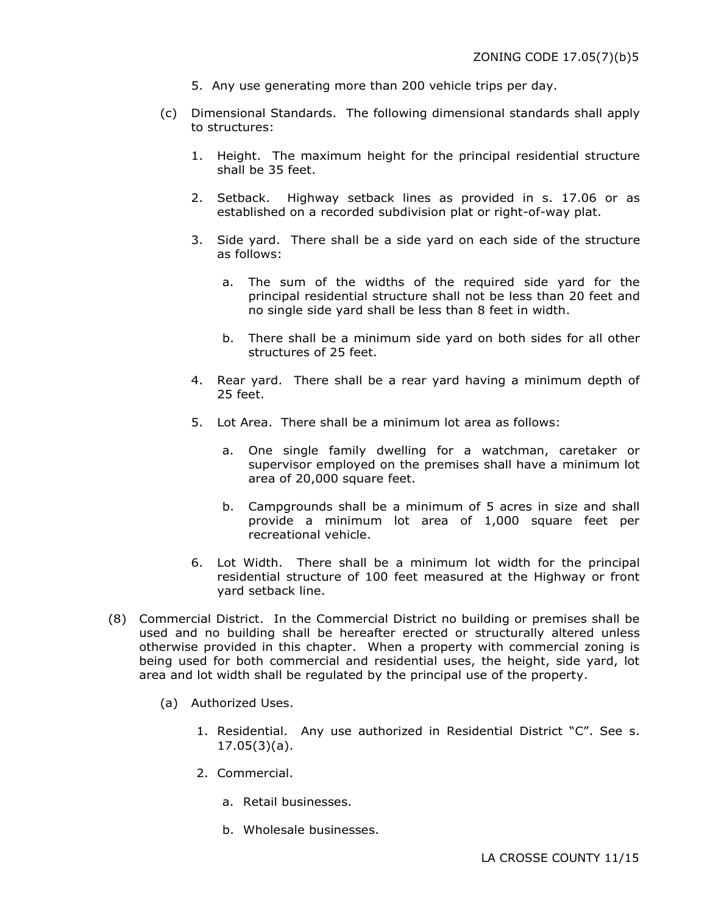- 5. Any use generating more than 200 vehicle trips per day.
- (c) Dimensional Standards. The following dimensional standards shall apply to structures:
	- 1. Height. The maximum height for the principal residential structure shall be 35 feet.
	- 2. Setback. Highway setback lines as provided in s. 17.06 or as established on a recorded subdivision plat or right-of-way plat.
	- 3. Side yard. There shall be a side yard on each side of the structure as follows:
		- a. The sum of the widths of the required side yard for the principal residential structure shall not be less than 20 feet and no single side yard shall be less than 8 feet in width.
		- b. There shall be a minimum side yard on both sides for all other structures of 25 feet.
	- 4. Rear yard. There shall be a rear yard having a minimum depth of 25 feet.
	- 5. Lot Area. There shall be a minimum lot area as follows:
		- a. One single family dwelling for a watchman, caretaker or supervisor employed on the premises shall have a minimum lot area of 20,000 square feet.
		- b. Campgrounds shall be a minimum of 5 acres in size and shall provide a minimum lot area of 1,000 square feet per recreational vehicle.
	- 6. Lot Width. There shall be a minimum lot width for the principal residential structure of 100 feet measured at the Highway or front yard setback line.
- (8) Commercial District. In the Commercial District no building or premises shall be used and no building shall be hereafter erected or structurally altered unless otherwise provided in this chapter. When a property with commercial zoning is being used for both commercial and residential uses, the height, side yard, lot area and lot width shall be regulated by the principal use of the property.
	- (a) Authorized Uses.
		- 1. Residential. Any use authorized in Residential District "C". See s. 17.05(3)(a).
		- 2. Commercial.
			- a. Retail businesses.
			- b. Wholesale businesses.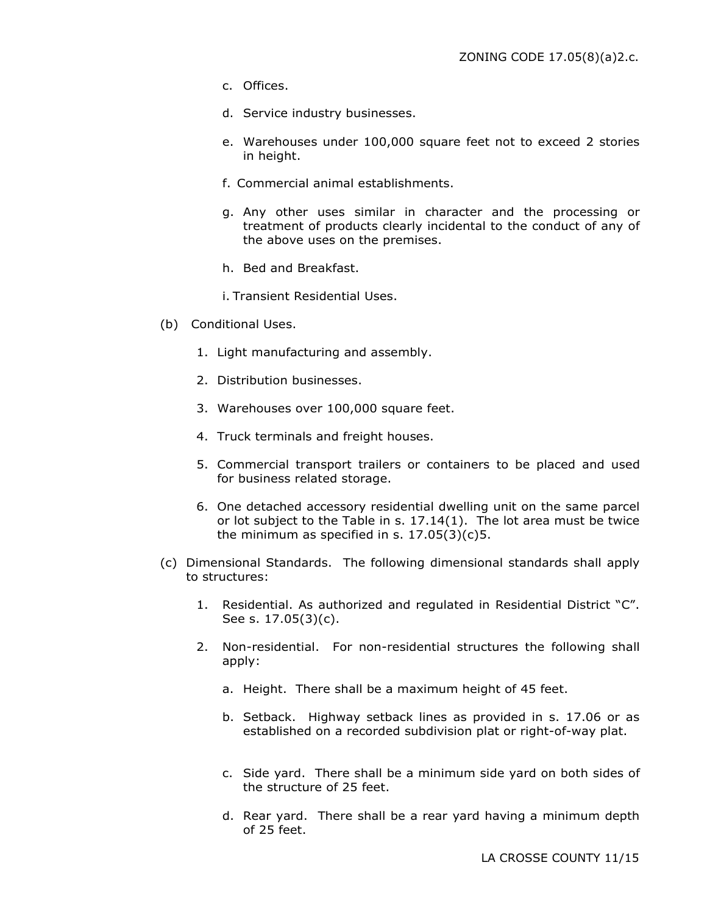- c. Offices.
- d. Service industry businesses.
- e. Warehouses under 100,000 square feet not to exceed 2 stories in height.
- f. Commercial animal establishments.
- g. Any other uses similar in character and the processing or treatment of products clearly incidental to the conduct of any of the above uses on the premises.
- h. Bed and Breakfast.
- i. Transient Residential Uses.
- (b) Conditional Uses.
	- 1. Light manufacturing and assembly.
	- 2. Distribution businesses.
	- 3. Warehouses over 100,000 square feet.
	- 4. Truck terminals and freight houses.
	- 5. Commercial transport trailers or containers to be placed and used for business related storage.
	- 6. One detached accessory residential dwelling unit on the same parcel or lot subject to the Table in s. 17.14(1). The lot area must be twice the minimum as specified in s.  $17.05(3)(c)5$ .
- (c) Dimensional Standards. The following dimensional standards shall apply to structures:
	- 1. Residential. As authorized and regulated in Residential District "C". See s. 17.05(3)(c).
	- 2. Non-residential. For non-residential structures the following shall apply:
		- a. Height. There shall be a maximum height of 45 feet.
		- b. Setback. Highway setback lines as provided in s. 17.06 or as established on a recorded subdivision plat or right-of-way plat.
		- c. Side yard. There shall be a minimum side yard on both sides of the structure of 25 feet.
		- d. Rear yard. There shall be a rear yard having a minimum depth of 25 feet.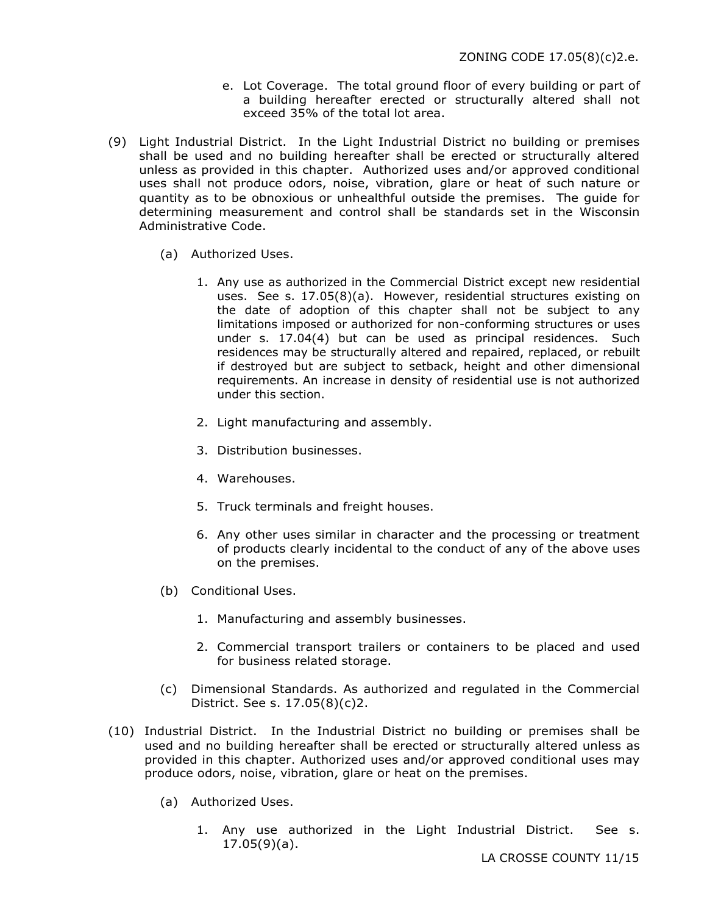- e. Lot Coverage. The total ground floor of every building or part of a building hereafter erected or structurally altered shall not exceed 35% of the total lot area.
- (9) Light Industrial District. In the Light Industrial District no building or premises shall be used and no building hereafter shall be erected or structurally altered unless as provided in this chapter. Authorized uses and/or approved conditional uses shall not produce odors, noise, vibration, glare or heat of such nature or quantity as to be obnoxious or unhealthful outside the premises. The guide for determining measurement and control shall be standards set in the Wisconsin Administrative Code.
	- (a) Authorized Uses.
		- 1. Any use as authorized in the Commercial District except new residential uses. See s. 17.05(8)(a). However, residential structures existing on the date of adoption of this chapter shall not be subject to any limitations imposed or authorized for non-conforming structures or uses under s. 17.04(4) but can be used as principal residences. Such residences may be structurally altered and repaired, replaced, or rebuilt if destroyed but are subject to setback, height and other dimensional requirements. An increase in density of residential use is not authorized under this section.
		- 2. Light manufacturing and assembly.
		- 3. Distribution businesses.
		- 4. Warehouses.
		- 5. Truck terminals and freight houses.
		- 6. Any other uses similar in character and the processing or treatment of products clearly incidental to the conduct of any of the above uses on the premises.
	- (b) Conditional Uses.
		- 1. Manufacturing and assembly businesses.
		- 2. Commercial transport trailers or containers to be placed and used for business related storage.
	- (c) Dimensional Standards. As authorized and regulated in the Commercial District. See s. 17.05(8)(c)2.
- (10) Industrial District. In the Industrial District no building or premises shall be used and no building hereafter shall be erected or structurally altered unless as provided in this chapter. Authorized uses and/or approved conditional uses may produce odors, noise, vibration, glare or heat on the premises.
	- (a) Authorized Uses.
		- 1. Any use authorized in the Light Industrial District. See s. 17.05(9)(a).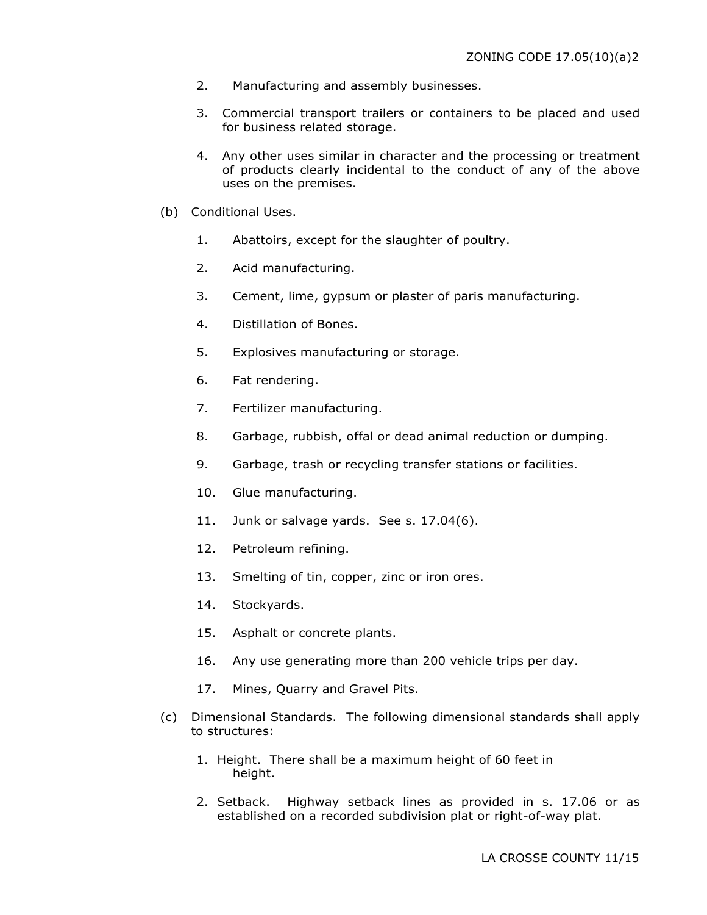- 2. Manufacturing and assembly businesses.
- 3. Commercial transport trailers or containers to be placed and used for business related storage.
- 4. Any other uses similar in character and the processing or treatment of products clearly incidental to the conduct of any of the above uses on the premises.
- (b) Conditional Uses.
	- 1. Abattoirs, except for the slaughter of poultry.
	- 2. Acid manufacturing.
	- 3. Cement, lime, gypsum or plaster of paris manufacturing.
	- 4. Distillation of Bones.
	- 5. Explosives manufacturing or storage.
	- 6. Fat rendering.
	- 7. Fertilizer manufacturing.
	- 8. Garbage, rubbish, offal or dead animal reduction or dumping.
	- 9. Garbage, trash or recycling transfer stations or facilities.
	- 10. Glue manufacturing.
	- 11. Junk or salvage yards. See s. 17.04(6).
	- 12. Petroleum refining.
	- 13. Smelting of tin, copper, zinc or iron ores.
	- 14. Stockyards.
	- 15. Asphalt or concrete plants.
	- 16. Any use generating more than 200 vehicle trips per day.
	- 17. Mines, Quarry and Gravel Pits.
- (c) Dimensional Standards. The following dimensional standards shall apply to structures:
	- 1. Height. There shall be a maximum height of 60 feet in height.
	- 2. Setback. Highway setback lines as provided in s. 17.06 or as established on a recorded subdivision plat or right-of-way plat.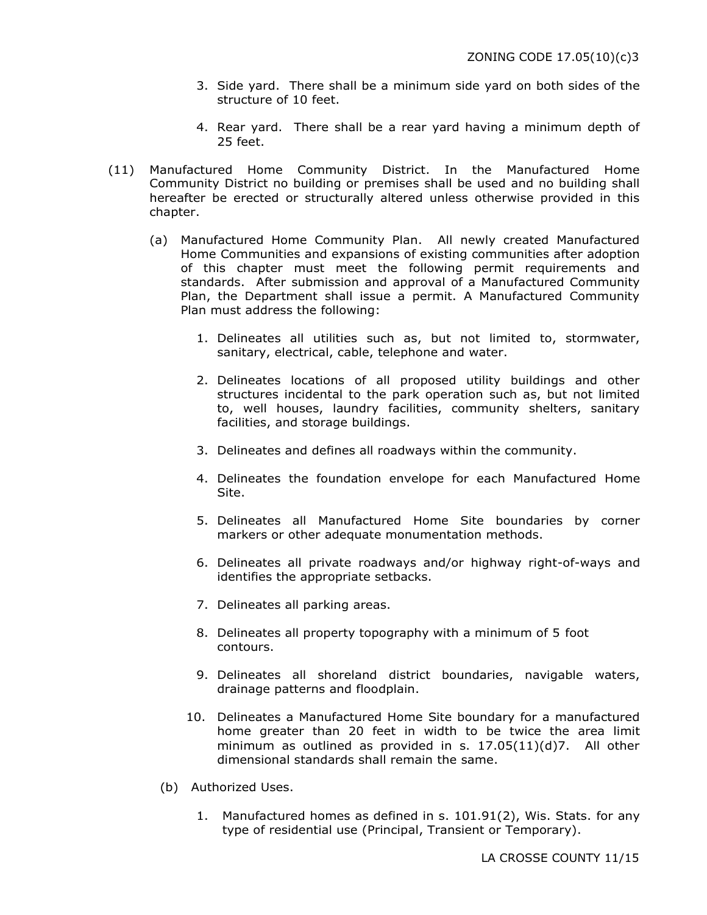- 3. Side yard. There shall be a minimum side yard on both sides of the structure of 10 feet.
- 4. Rear yard. There shall be a rear yard having a minimum depth of 25 feet.
- (11) Manufactured Home Community District. In the Manufactured Home Community District no building or premises shall be used and no building shall hereafter be erected or structurally altered unless otherwise provided in this chapter.
	- (a) Manufactured Home Community Plan. All newly created Manufactured Home Communities and expansions of existing communities after adoption of this chapter must meet the following permit requirements and standards. After submission and approval of a Manufactured Community Plan, the Department shall issue a permit. A Manufactured Community Plan must address the following:
		- 1. Delineates all utilities such as, but not limited to, stormwater, sanitary, electrical, cable, telephone and water.
		- 2. Delineates locations of all proposed utility buildings and other structures incidental to the park operation such as, but not limited to, well houses, laundry facilities, community shelters, sanitary facilities, and storage buildings.
		- 3. Delineates and defines all roadways within the community.
		- 4. Delineates the foundation envelope for each Manufactured Home Site.
		- 5. Delineates all Manufactured Home Site boundaries by corner markers or other adequate monumentation methods.
		- 6. Delineates all private roadways and/or highway right-of-ways and identifies the appropriate setbacks.
		- 7. Delineates all parking areas.
		- 8. Delineates all property topography with a minimum of 5 foot contours.
		- 9. Delineates all shoreland district boundaries, navigable waters, drainage patterns and floodplain.
		- 10. Delineates a Manufactured Home Site boundary for a manufactured home greater than 20 feet in width to be twice the area limit minimum as outlined as provided in s. 17.05(11)(d)7. All other dimensional standards shall remain the same.
		- (b) Authorized Uses.
			- 1. Manufactured homes as defined in s. 101.91(2), Wis. Stats. for any type of residential use (Principal, Transient or Temporary).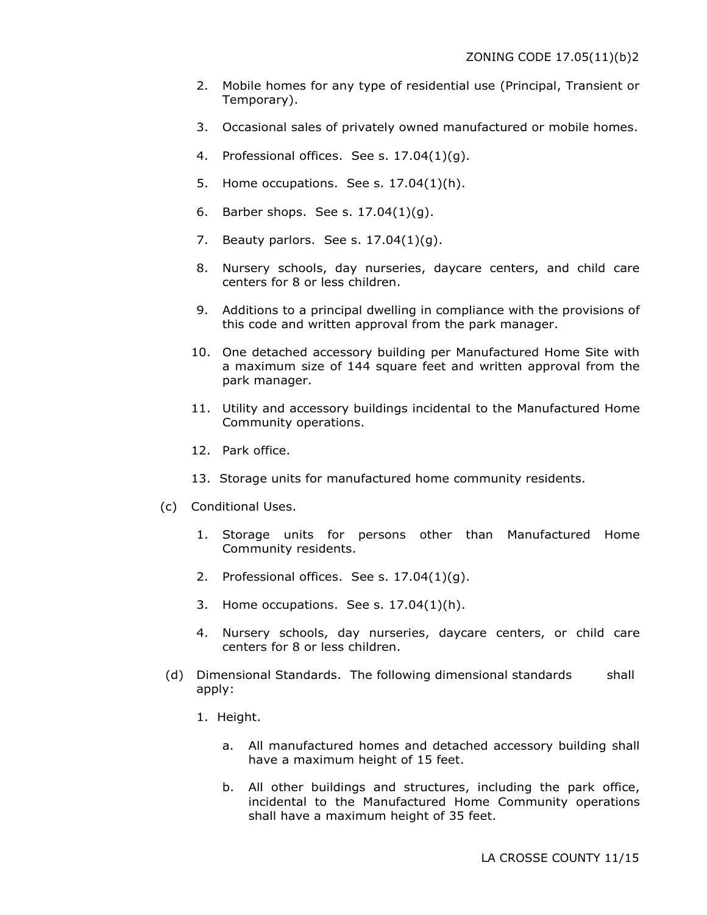- 2. Mobile homes for any type of residential use (Principal, Transient or Temporary).
- 3. Occasional sales of privately owned manufactured or mobile homes.
- 4. Professional offices. See s. 17.04(1)(g).
- 5. Home occupations. See s. 17.04(1)(h).
- 6. Barber shops. See s. 17.04(1)(g).
- 7. Beauty parlors. See s. 17.04(1)(g).
- 8. Nursery schools, day nurseries, daycare centers, and child care centers for 8 or less children.
- 9. Additions to a principal dwelling in compliance with the provisions of this code and written approval from the park manager.
- 10. One detached accessory building per Manufactured Home Site with a maximum size of 144 square feet and written approval from the park manager.
- 11. Utility and accessory buildings incidental to the Manufactured Home Community operations.
- 12. Park office.
- 13. Storage units for manufactured home community residents.
- (c) Conditional Uses.
	- 1. Storage units for persons other than Manufactured Home Community residents.
	- 2. Professional offices. See s. 17.04(1)(g).
	- 3. Home occupations. See s.  $17.04(1)(h)$ .
	- 4. Nursery schools, day nurseries, daycare centers, or child care centers for 8 or less children.
- (d) Dimensional Standards. The following dimensional standards shall apply:
	- 1. Height.
		- a. All manufactured homes and detached accessory building shall have a maximum height of 15 feet.
		- b. All other buildings and structures, including the park office, incidental to the Manufactured Home Community operations shall have a maximum height of 35 feet.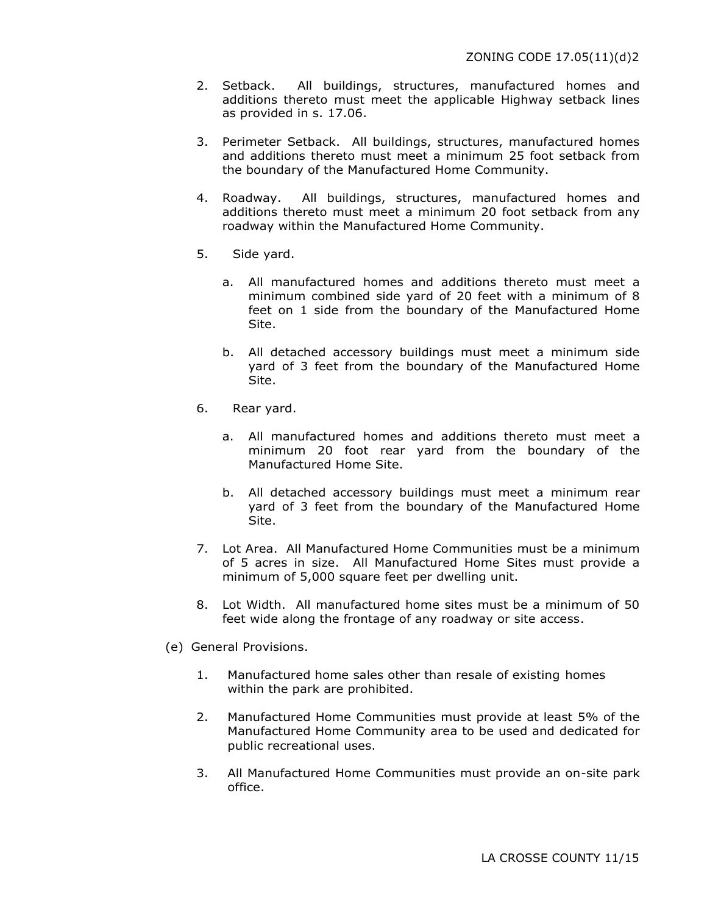- 2. Setback. All buildings, structures, manufactured homes and additions thereto must meet the applicable Highway setback lines as provided in s. 17.06.
- 3. Perimeter Setback. All buildings, structures, manufactured homes and additions thereto must meet a minimum 25 foot setback from the boundary of the Manufactured Home Community.
- 4. Roadway. All buildings, structures, manufactured homes and additions thereto must meet a minimum 20 foot setback from any roadway within the Manufactured Home Community.
- 5. Side yard.
	- a. All manufactured homes and additions thereto must meet a minimum combined side yard of 20 feet with a minimum of 8 feet on 1 side from the boundary of the Manufactured Home Site.
	- b. All detached accessory buildings must meet a minimum side yard of 3 feet from the boundary of the Manufactured Home Site.
- 6. Rear yard.
	- a. All manufactured homes and additions thereto must meet a minimum 20 foot rear yard from the boundary of the Manufactured Home Site.
	- b. All detached accessory buildings must meet a minimum rear yard of 3 feet from the boundary of the Manufactured Home Site.
- 7. Lot Area. All Manufactured Home Communities must be a minimum of 5 acres in size. All Manufactured Home Sites must provide a minimum of 5,000 square feet per dwelling unit.
- 8. Lot Width. All manufactured home sites must be a minimum of 50 feet wide along the frontage of any roadway or site access.
- (e) General Provisions.
	- 1. Manufactured home sales other than resale of existing homes within the park are prohibited.
	- 2. Manufactured Home Communities must provide at least 5% of the Manufactured Home Community area to be used and dedicated for public recreational uses.
	- 3. All Manufactured Home Communities must provide an on-site park office.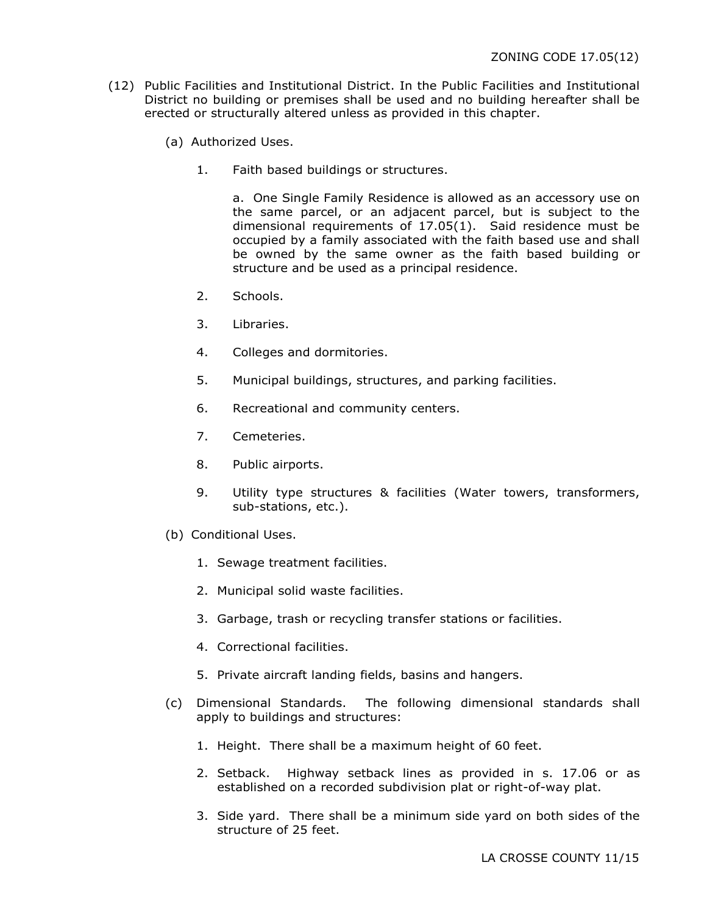- (12) Public Facilities and Institutional District. In the Public Facilities and Institutional District no building or premises shall be used and no building hereafter shall be erected or structurally altered unless as provided in this chapter.
	- (a) Authorized Uses.
		- 1. Faith based buildings or structures.

a. One Single Family Residence is allowed as an accessory use on the same parcel, or an adjacent parcel, but is subject to the dimensional requirements of 17.05(1). Said residence must be occupied by a family associated with the faith based use and shall be owned by the same owner as the faith based building or structure and be used as a principal residence.

- 2. Schools.
- 3. Libraries.
- 4. Colleges and dormitories.
- 5. Municipal buildings, structures, and parking facilities.
- 6. Recreational and community centers.
- 7. Cemeteries.
- 8. Public airports.
- 9. Utility type structures & facilities (Water towers, transformers, sub-stations, etc.).
- (b) Conditional Uses.
	- 1. Sewage treatment facilities.
	- 2. Municipal solid waste facilities.
	- 3. Garbage, trash or recycling transfer stations or facilities.
	- 4. Correctional facilities.
	- 5. Private aircraft landing fields, basins and hangers.
- (c) Dimensional Standards. The following dimensional standards shall apply to buildings and structures:
	- 1. Height. There shall be a maximum height of 60 feet.
	- 2. Setback. Highway setback lines as provided in s. 17.06 or as established on a recorded subdivision plat or right-of-way plat.
	- 3. Side yard. There shall be a minimum side yard on both sides of the structure of 25 feet.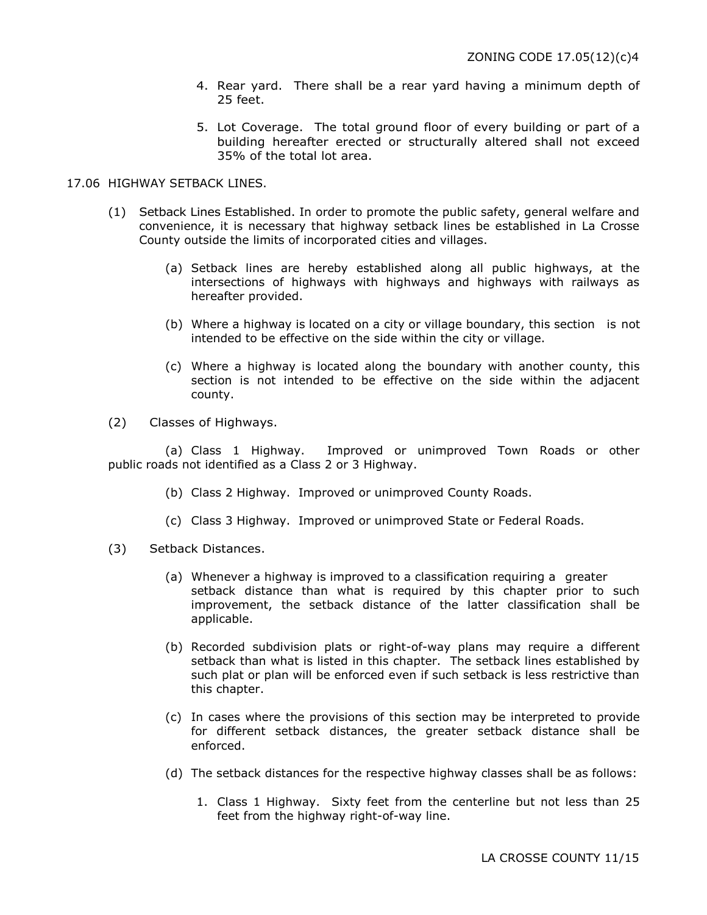- 4. Rear yard. There shall be a rear yard having a minimum depth of 25 feet.
- 5. Lot Coverage. The total ground floor of every building or part of a building hereafter erected or structurally altered shall not exceed 35% of the total lot area.

### 17.06 HIGHWAY SETBACK LINES.

- (1) Setback Lines Established. In order to promote the public safety, general welfare and convenience, it is necessary that highway setback lines be established in La Crosse County outside the limits of incorporated cities and villages.
	- (a) Setback lines are hereby established along all public highways, at the intersections of highways with highways and highways with railways as hereafter provided.
	- (b) Where a highway is located on a city or village boundary, this section is not intended to be effective on the side within the city or village.
	- (c) Where a highway is located along the boundary with another county, this section is not intended to be effective on the side within the adjacent county.
- (2) Classes of Highways.

(a) Class 1 Highway. Improved or unimproved Town Roads or other public roads not identified as a Class 2 or 3 Highway.

- (b) Class 2 Highway. Improved or unimproved County Roads.
- (c) Class 3 Highway. Improved or unimproved State or Federal Roads.
- (3) Setback Distances.
	- (a) Whenever a highway is improved to a classification requiring a greater setback distance than what is required by this chapter prior to such improvement, the setback distance of the latter classification shall be applicable.
	- (b) Recorded subdivision plats or right-of-way plans may require a different setback than what is listed in this chapter. The setback lines established by such plat or plan will be enforced even if such setback is less restrictive than this chapter.
	- (c) In cases where the provisions of this section may be interpreted to provide for different setback distances, the greater setback distance shall be enforced.
	- (d) The setback distances for the respective highway classes shall be as follows:
		- 1. Class 1 Highway. Sixty feet from the centerline but not less than 25 feet from the highway right-of-way line.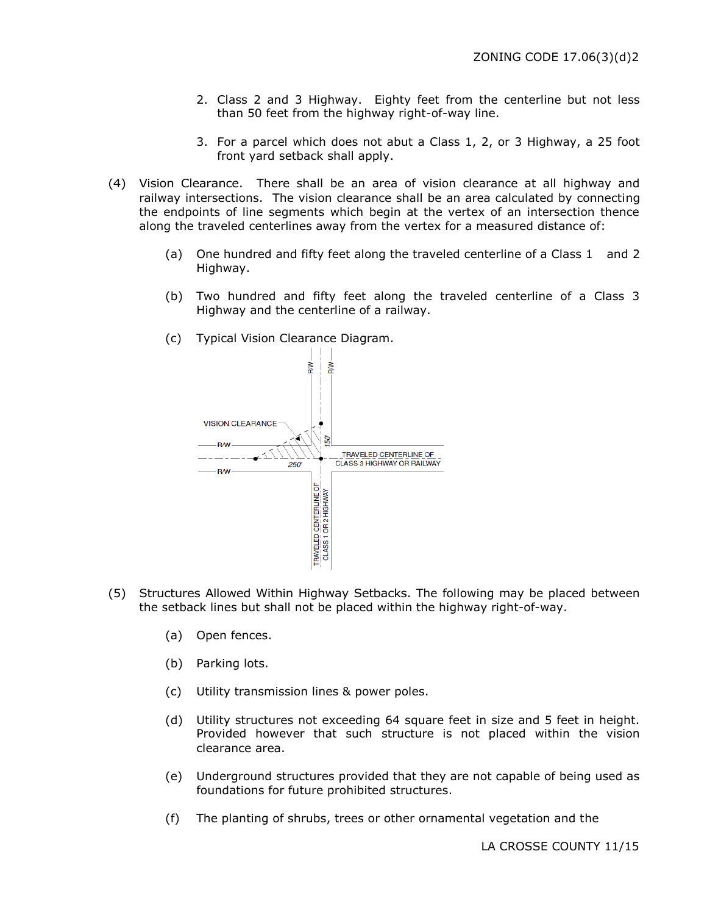- 2. Class 2 and 3 Highway. Eighty feet from the centerline but not less than 50 feet from the highway right-of-way line.
- 3. For a parcel which does not abut a Class 1, 2, or 3 Highway, a 25 foot front yard setback shall apply.
- (4) Vision Clearance. There shall be an area of vision clearance at all highway and railway intersections. The vision clearance shall be an area calculated by connecting the endpoints of line segments which begin at the vertex of an intersection thence along the traveled centerlines away from the vertex for a measured distance of:
	- (a) One hundred and fifty feet along the traveled centerline of a Class 1 and 2 Highway.
	- (b) Two hundred and fifty feet along the traveled centerline of a Class 3 Highway and the centerline of a railway.
	- (c) Typical Vision Clearance Diagram.



- (5) Structures Allowed Within Highway Setbacks. The following may be placed between the setback lines but shall not be placed within the highway right-of-way.
	- (a) Open fences.
	- (b) Parking lots.
	- (c) Utility transmission lines & power poles.
	- (d) Utility structures not exceeding 64 square feet in size and 5 feet in height. Provided however that such structure is not placed within the vision clearance area.
	- (e) Underground structures provided that they are not capable of being used as foundations for future prohibited structures.
	- (f) The planting of shrubs, trees or other ornamental vegetation and the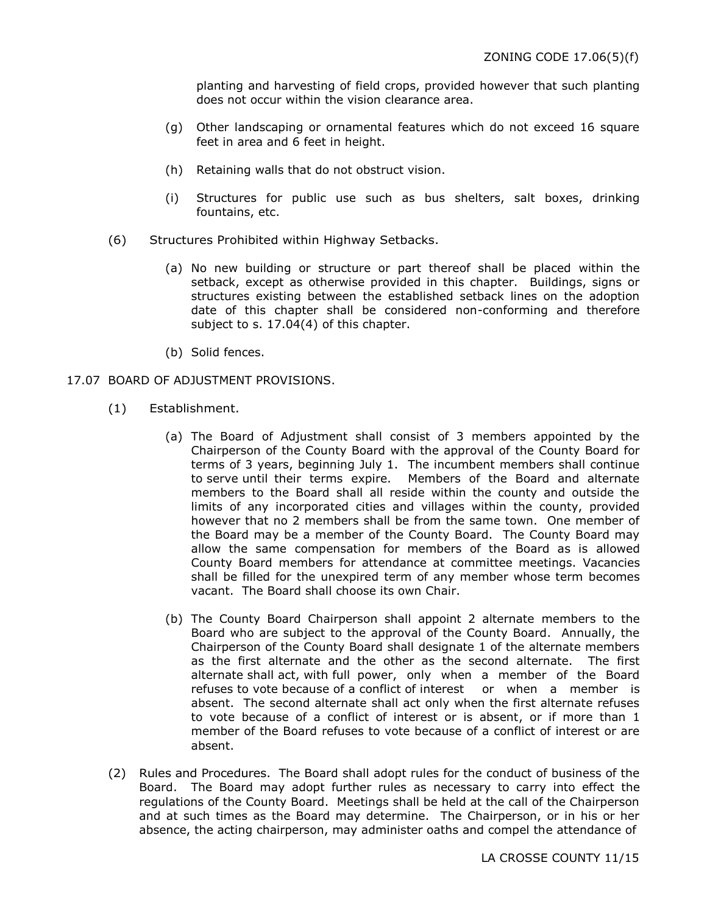planting and harvesting of field crops, provided however that such planting does not occur within the vision clearance area.

- (g) Other landscaping or ornamental features which do not exceed 16 square feet in area and 6 feet in height.
- (h) Retaining walls that do not obstruct vision.
- (i) Structures for public use such as bus shelters, salt boxes, drinking fountains, etc.
- (6) Structures Prohibited within Highway Setbacks.
	- (a) No new building or structure or part thereof shall be placed within the setback, except as otherwise provided in this chapter. Buildings, signs or structures existing between the established setback lines on the adoption date of this chapter shall be considered non-conforming and therefore subject to s. 17.04(4) of this chapter.
	- (b) Solid fences.

### 17.07 BOARD OF ADJUSTMENT PROVISIONS.

- (1) Establishment.
	- (a) The Board of Adjustment shall consist of 3 members appointed by the Chairperson of the County Board with the approval of the County Board for terms of 3 years, beginning July 1. The incumbent members shall continue to serve until their terms expire. Members of the Board and alternate members to the Board shall all reside within the county and outside the limits of any incorporated cities and villages within the county, provided however that no 2 members shall be from the same town. One member of the Board may be a member of the County Board. The County Board may allow the same compensation for members of the Board as is allowed County Board members for attendance at committee meetings. Vacancies shall be filled for the unexpired term of any member whose term becomes vacant. The Board shall choose its own Chair.
	- (b) The County Board Chairperson shall appoint 2 alternate members to the Board who are subject to the approval of the County Board. Annually, the Chairperson of the County Board shall designate 1 of the alternate members as the first alternate and the other as the second alternate. The first alternate shall act, with full power, only when a member of the Board refuses to vote because of a conflict of interest or when a member is absent. The second alternate shall act only when the first alternate refuses to vote because of a conflict of interest or is absent, or if more than 1 member of the Board refuses to vote because of a conflict of interest or are absent.
- (2) Rules and Procedures.The Board shall adopt rules for the conduct of business of the Board. The Board may adopt further rules as necessary to carry into effect the regulations of the County Board. Meetings shall be held at the call of the Chairperson and at such times as the Board may determine. The Chairperson, or in his or her absence, the acting chairperson, may administer oaths and compel the attendance of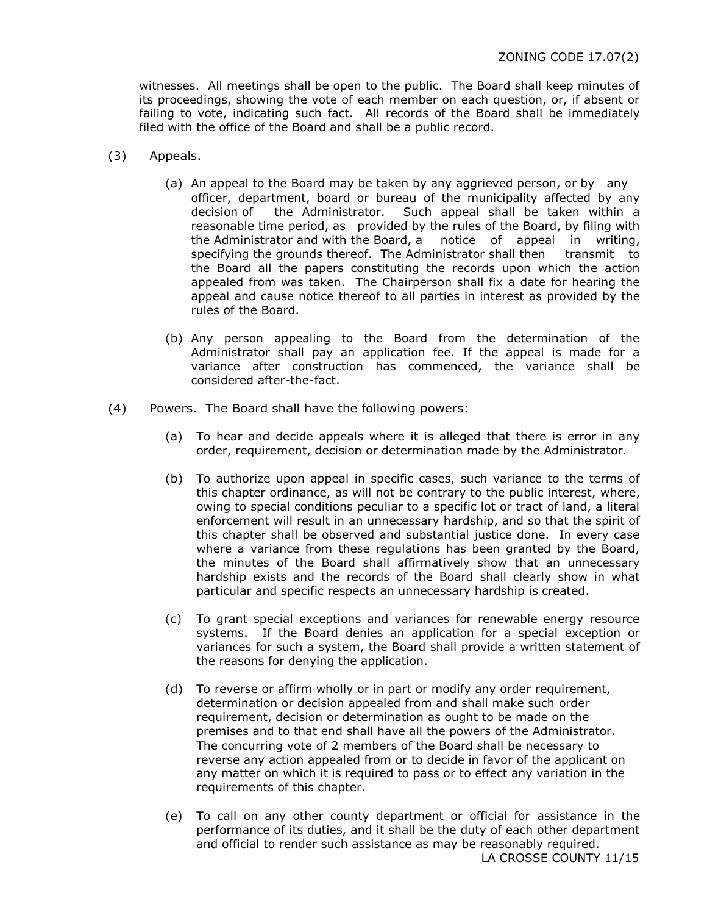witnesses. All meetings shall be open to the public. The Board shall keep minutes of its proceedings, showing the vote of each member on each question, or, if absent or failing to vote, indicating such fact. All records of the Board shall be immediately filed with the office of the Board and shall be a public record.

- (3) Appeals.
	- (a) An appeal to the Board may be taken by any aggrieved person, or by any officer, department, board or bureau of the municipality affected by any decision of the Administrator. Such appeal shall be taken within a reasonable time period, as provided by the rules of the Board, by filing with the Administrator and with the Board, a notice of appeal in writing, specifying the grounds thereof. The Administrator shall then transmit to the Board all the papers constituting the records upon which the action appealed from was taken. The Chairperson shall fix a date for hearing the appeal and cause notice thereof to all parties in interest as provided by the rules of the Board.
	- (b) Any person appealing to the Board from the determination of the Administrator shall pay an application fee. If the appeal is made for a variance after construction has commenced, the variance shall be considered after-the-fact.
- (4) Powers.The Board shall have the following powers:
	- (a) To hear and decide appeals where it is alleged that there is error in any order, requirement, decision or determination made by the Administrator.
	- (b) To authorize upon appeal in specific cases, such variance to the terms of this chapter ordinance, as will not be contrary to the public interest, where, owing to special conditions peculiar to a specific lot or tract of land, a literal enforcement will result in an unnecessary hardship, and so that the spirit of this chapter shall be observed and substantial justice done. In every case where a variance from these regulations has been granted by the Board, the minutes of the Board shall affirmatively show that an unnecessary hardship exists and the records of the Board shall clearly show in what particular and specific respects an unnecessary hardship is created.
	- (c) To grant special exceptions and variances for renewable energy resource systems. If the Board denies an application for a special exception or variances for such a system, the Board shall provide a written statement of the reasons for denying the application.
	- (d) To reverse or affirm wholly or in part or modify any order requirement, determination or decision appealed from and shall make such order requirement, decision or determination as ought to be made on the premises and to that end shall have all the powers of the Administrator. The concurring vote of 2 members of the Board shall be necessary to reverse any action appealed from or to decide in favor of the applicant on any matter on which it is required to pass or to effect any variation in the requirements of this chapter.
	- (e) To call on any other county department or official for assistance in the performance of its duties, and it shall be the duty of each other department and official to render such assistance as may be reasonably required. LA CROSSE COUNTY 11/15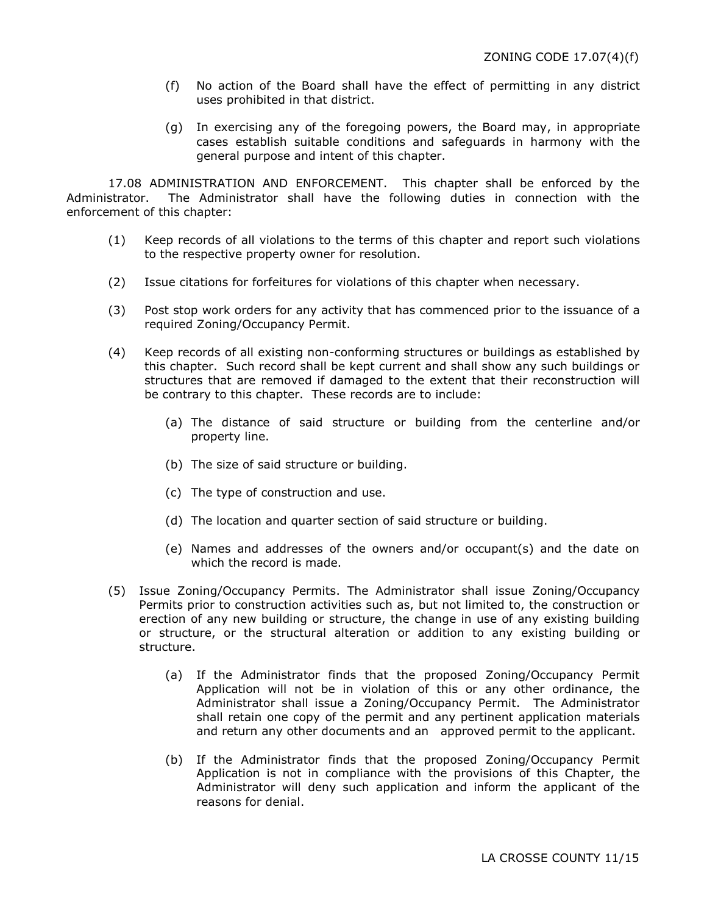- (f) No action of the Board shall have the effect of permitting in any district uses prohibited in that district.
- (g) In exercising any of the foregoing powers, the Board may, in appropriate cases establish suitable conditions and safeguards in harmony with the general purpose and intent of this chapter.

17.08 ADMINISTRATION AND ENFORCEMENT. This chapter shall be enforced by the Administrator. The Administrator shall have the following duties in connection with the enforcement of this chapter:

- (1) Keep records of all violations to the terms of this chapter and report such violations to the respective property owner for resolution.
- (2) Issue citations for forfeitures for violations of this chapter when necessary.
- (3) Post stop work orders for any activity that has commenced prior to the issuance of a required Zoning/Occupancy Permit.
- (4) Keep records of all existing non-conforming structures or buildings as established by this chapter. Such record shall be kept current and shall show any such buildings or structures that are removed if damaged to the extent that their reconstruction will be contrary to this chapter. These records are to include:
	- (a) The distance of said structure or building from the centerline and/or property line.
	- (b) The size of said structure or building.
	- (c) The type of construction and use.
	- (d) The location and quarter section of said structure or building.
	- (e) Names and addresses of the owners and/or occupant(s) and the date on which the record is made.
- (5) Issue Zoning/Occupancy Permits. The Administrator shall issue Zoning/Occupancy Permits prior to construction activities such as, but not limited to, the construction or erection of any new building or structure, the change in use of any existing building or structure, or the structural alteration or addition to any existing building or structure.
	- (a) If the Administrator finds that the proposed Zoning/Occupancy Permit Application will not be in violation of this or any other ordinance, the Administrator shall issue a Zoning/Occupancy Permit. The Administrator shall retain one copy of the permit and any pertinent application materials and return any other documents and an approved permit to the applicant.
	- (b) If the Administrator finds that the proposed Zoning/Occupancy Permit Application is not in compliance with the provisions of this Chapter, the Administrator will deny such application and inform the applicant of the reasons for denial.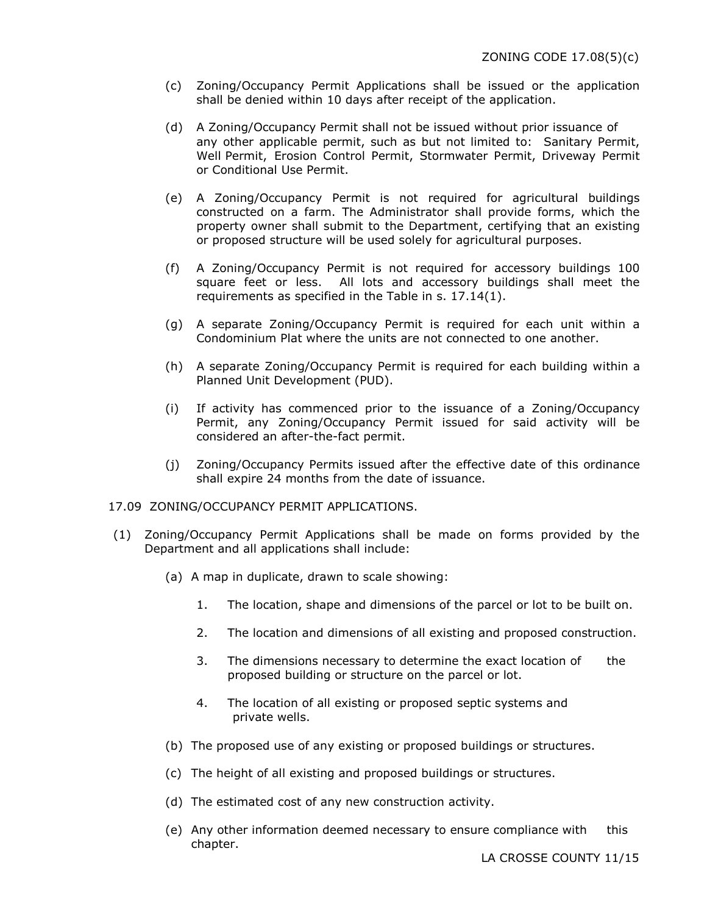- (c) Zoning/Occupancy Permit Applications shall be issued or the application shall be denied within 10 days after receipt of the application.
- (d) A Zoning/Occupancy Permit shall not be issued without prior issuance of any other applicable permit, such as but not limited to: Sanitary Permit, Well Permit, Erosion Control Permit, Stormwater Permit, Driveway Permit or Conditional Use Permit.
- (e) A Zoning/Occupancy Permit is not required for agricultural buildings constructed on a farm. The Administrator shall provide forms, which the property owner shall submit to the Department, certifying that an existing or proposed structure will be used solely for agricultural purposes.
- (f) A Zoning/Occupancy Permit is not required for accessory buildings 100 square feet or less. All lots and accessory buildings shall meet the requirements as specified in the Table in s. 17.14(1).
- (g) A separate Zoning/Occupancy Permit is required for each unit within a Condominium Plat where the units are not connected to one another.
- (h) A separate Zoning/Occupancy Permit is required for each building within a Planned Unit Development (PUD).
- (i) If activity has commenced prior to the issuance of a Zoning/Occupancy Permit, any Zoning/Occupancy Permit issued for said activity will be considered an after-the-fact permit.
- (j) Zoning/Occupancy Permits issued after the effective date of this ordinance shall expire 24 months from the date of issuance.

#### 17.09 ZONING/OCCUPANCY PERMIT APPLICATIONS.

- (1) Zoning/Occupancy Permit Applications shall be made on forms provided by the Department and all applications shall include:
	- (a) A map in duplicate, drawn to scale showing:
		- 1. The location, shape and dimensions of the parcel or lot to be built on.
		- 2. The location and dimensions of all existing and proposed construction.
		- 3. The dimensions necessary to determine the exact location of the proposed building or structure on the parcel or lot.
		- 4. The location of all existing or proposed septic systems and private wells.
	- (b) The proposed use of any existing or proposed buildings or structures.
	- (c) The height of all existing and proposed buildings or structures.
	- (d) The estimated cost of any new construction activity.
	- (e) Any other information deemed necessary to ensure compliance with this chapter.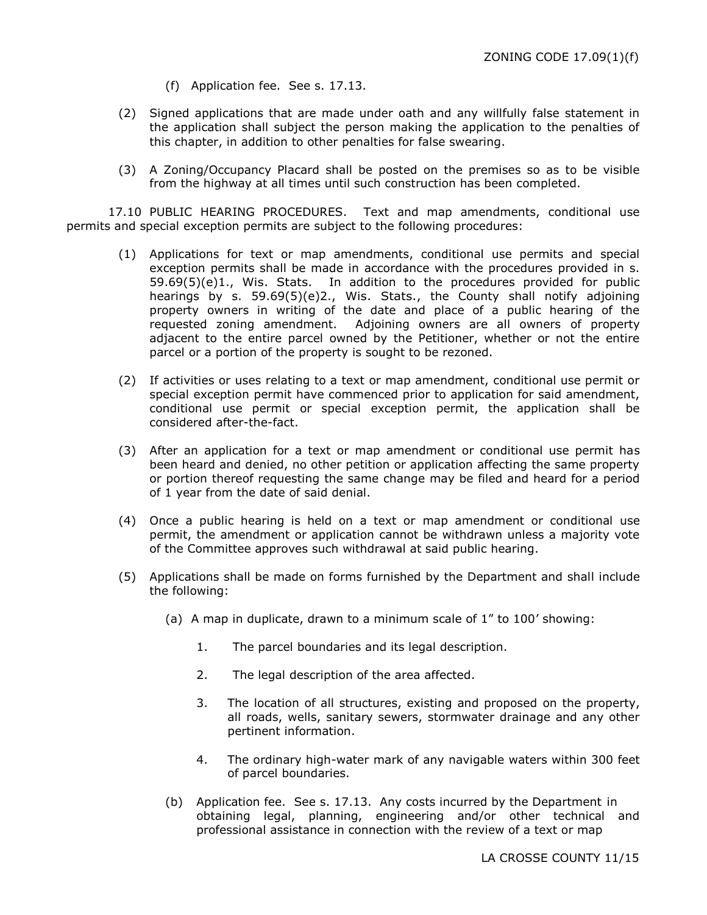- (f) Application fee. See s. 17.13.
- (2) Signed applications that are made under oath and any willfully false statement in the application shall subject the person making the application to the penalties of this chapter, in addition to other penalties for false swearing.
- (3) A Zoning/Occupancy Placard shall be posted on the premises so as to be visible from the highway at all times until such construction has been completed.

17.10 PUBLIC HEARING PROCEDURES. Text and map amendments, conditional use permits and special exception permits are subject to the following procedures:

- (1) Applications for text or map amendments, conditional use permits and special exception permits shall be made in accordance with the procedures provided in s. 59.69(5)(e)1., Wis. Stats. In addition to the procedures provided for public hearings by s. 59.69(5)(e)2., Wis. Stats., the County shall notify adjoining property owners in writing of the date and place of a public hearing of the requested zoning amendment. Adjoining owners are all owners of property adjacent to the entire parcel owned by the Petitioner, whether or not the entire parcel or a portion of the property is sought to be rezoned.
- (2) If activities or uses relating to a text or map amendment, conditional use permit or special exception permit have commenced prior to application for said amendment, conditional use permit or special exception permit, the application shall be considered after-the-fact.
- (3) After an application for a text or map amendment or conditional use permit has been heard and denied, no other petition or application affecting the same property or portion thereof requesting the same change may be filed and heard for a period of 1 year from the date of said denial.
- (4) Once a public hearing is held on a text or map amendment or conditional use permit, the amendment or application cannot be withdrawn unless a majority vote of the Committee approves such withdrawal at said public hearing.
- (5) Applications shall be made on forms furnished by the Department and shall include the following:
	- (a) A map in duplicate, drawn to a minimum scale of 1" to 100' showing:
		- 1. The parcel boundaries and its legal description.
		- 2. The legal description of the area affected.
		- 3. The location of all structures, existing and proposed on the property, all roads, wells, sanitary sewers, stormwater drainage and any other pertinent information.
		- 4. The ordinary high-water mark of any navigable waters within 300 feet of parcel boundaries.
	- (b) Application fee. See s. 17.13. Any costs incurred by the Department in obtaining legal, planning, engineering and/or other technical and professional assistance in connection with the review of a text or map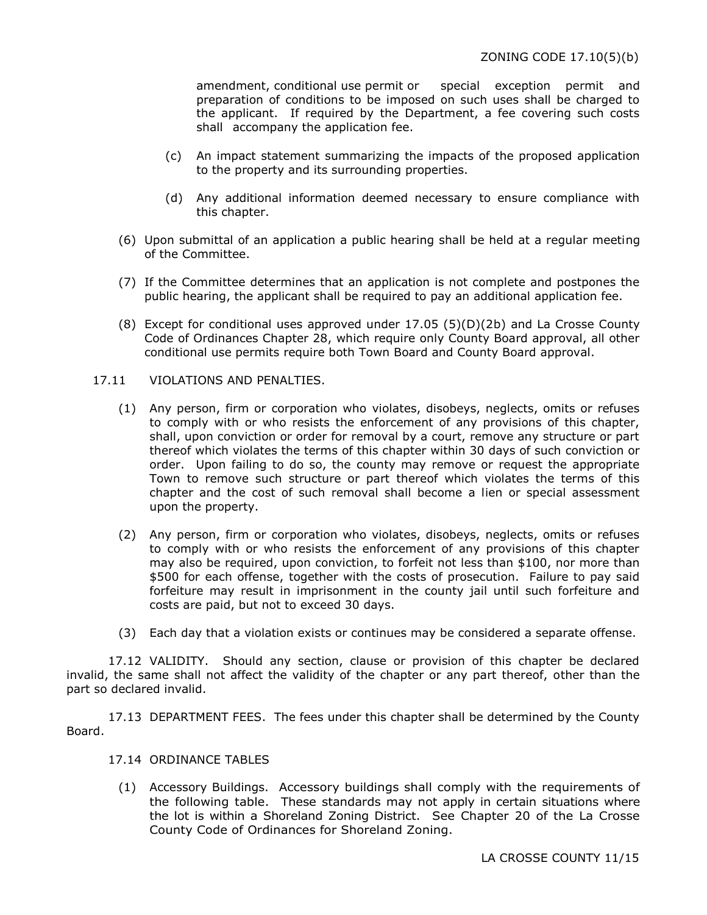amendment, conditional use permit or special exception permit and preparation of conditions to be imposed on such uses shall be charged to the applicant. If required by the Department, a fee covering such costs shall accompany the application fee.

- (c) An impact statement summarizing the impacts of the proposed application to the property and its surrounding properties.
- (d) Any additional information deemed necessary to ensure compliance with this chapter.
- (6) Upon submittal of an application a public hearing shall be held at a regular meeting of the Committee.
- (7) If the Committee determines that an application is not complete and postpones the public hearing, the applicant shall be required to pay an additional application fee.
- (8) Except for conditional uses approved under 17.05 (5)(D)(2b) and La Crosse County Code of Ordinances Chapter 28, which require only County Board approval, all other conditional use permits require both Town Board and County Board approval.

### 17.11 VIOLATIONS AND PENALTIES.

- (1) Any person, firm or corporation who violates, disobeys, neglects, omits or refuses to comply with or who resists the enforcement of any provisions of this chapter, shall, upon conviction or order for removal by a court, remove any structure or part thereof which violates the terms of this chapter within 30 days of such conviction or order. Upon failing to do so, the county may remove or request the appropriate Town to remove such structure or part thereof which violates the terms of this chapter and the cost of such removal shall become a lien or special assessment upon the property.
- (2) Any person, firm or corporation who violates, disobeys, neglects, omits or refuses to comply with or who resists the enforcement of any provisions of this chapter may also be required, upon conviction, to forfeit not less than \$100, nor more than \$500 for each offense, together with the costs of prosecution. Failure to pay said forfeiture may result in imprisonment in the county jail until such forfeiture and costs are paid, but not to exceed 30 days.
- (3) Each day that a violation exists or continues may be considered a separate offense.

17.12 VALIDITY. Should any section, clause or provision of this chapter be declared invalid, the same shall not affect the validity of the chapter or any part thereof, other than the part so declared invalid.

17.13 DEPARTMENT FEES. The fees under this chapter shall be determined by the County Board.

# 17.14 ORDINANCE TABLES

(1) Accessory Buildings. Accessory buildings shall comply with the requirements of the following table. These standards may not apply in certain situations where the lot is within a Shoreland Zoning District. See Chapter 20 of the La Crosse County Code of Ordinances for Shoreland Zoning.